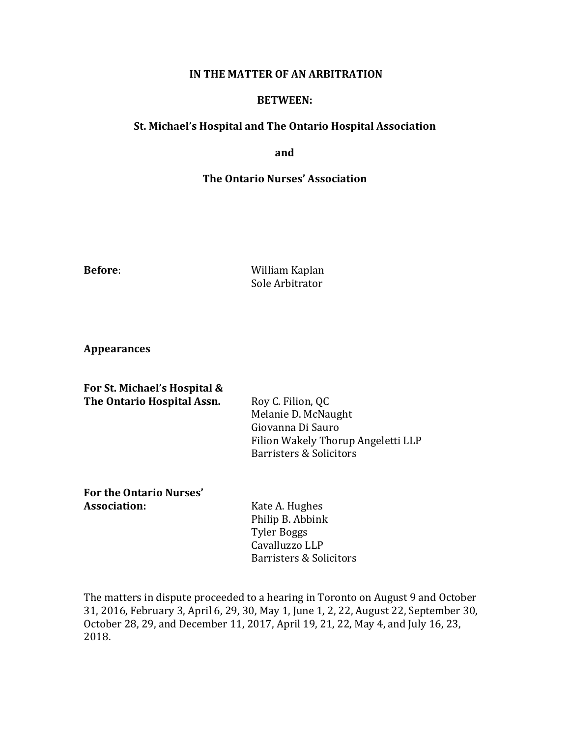## **IN THE MATTER OF AN ARBITRATION**

## **BETWEEN:**

## **St. Michael's Hospital and The Ontario Hospital Association**

**and**

## **The Ontario Nurses' Association**

**Before:** William Kaplan Sole Arbitrator

**Appearances**

**For St. Michael's Hospital & The Ontario Hospital Assn.** Roy C. Filion, QC Melanie D. McNaught Giovanna Di Sauro Filion Wakely Thorup Angeletti LLP Barristers & Solicitors

## For the Ontario Nurses' **Association:** Kate A. Hughes

Philip B. Abbink Tyler Boggs Cavalluzzo LLP Barristers & Solicitors

The matters in dispute proceeded to a hearing in Toronto on August 9 and October 31, 2016, February 3, April 6, 29, 30, May 1, June 1, 2, 22, August 22, September 30, October 28, 29, and December 11, 2017, April 19, 21, 22, May 4, and July 16, 23, 2018.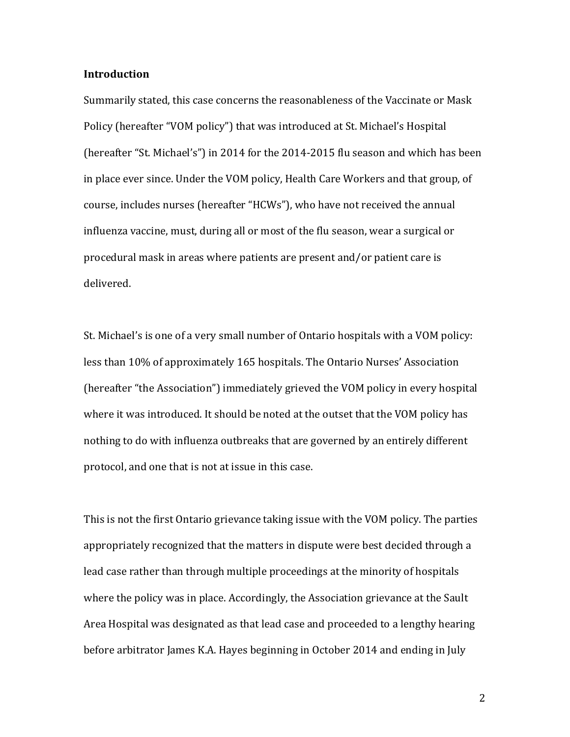#### **Introduction**

Summarily stated, this case concerns the reasonableness of the Vaccinate or Mask Policy (hereafter "VOM policy") that was introduced at St. Michael's Hospital (hereafter "St. Michael's") in 2014 for the  $2014$ -2015 flu season and which has been in place ever since. Under the VOM policy, Health Care Workers and that group, of course, includes nurses (hereafter "HCWs"), who have not received the annual influenza vaccine, must, during all or most of the flu season, wear a surgical or procedural mask in areas where patients are present and/or patient care is delivered.

St. Michael's is one of a very small number of Ontario hospitals with a VOM policy: less than 10% of approximately 165 hospitals. The Ontario Nurses' Association (hereafter "the Association") immediately grieved the VOM policy in every hospital where it was introduced. It should be noted at the outset that the VOM policy has nothing to do with influenza outbreaks that are governed by an entirely different protocol, and one that is not at issue in this case.

This is not the first Ontario grievance taking issue with the VOM policy. The parties appropriately recognized that the matters in dispute were best decided through a lead case rather than through multiple proceedings at the minority of hospitals where the policy was in place. Accordingly, the Association grievance at the Sault Area Hospital was designated as that lead case and proceeded to a lengthy hearing before arbitrator James K.A. Hayes beginning in October 2014 and ending in July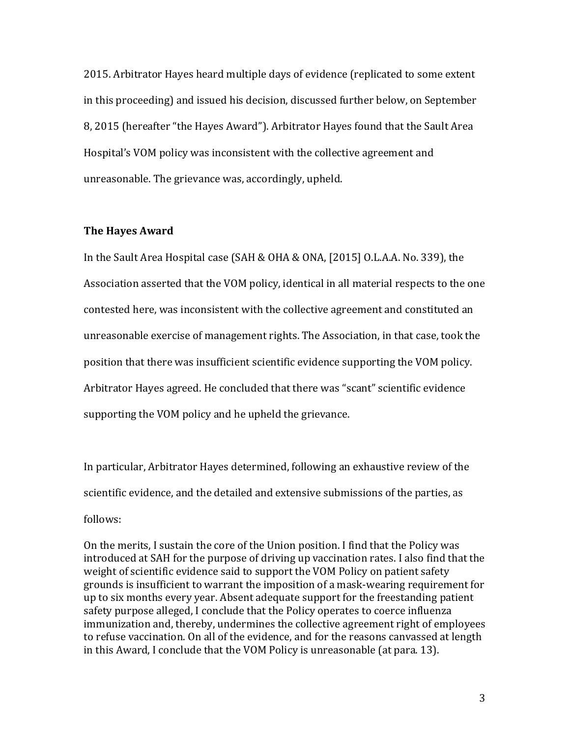2015. Arbitrator Hayes heard multiple days of evidence (replicated to some extent in this proceeding) and issued his decision, discussed further below, on September 8, 2015 (hereafter "the Hayes Award"). Arbitrator Hayes found that the Sault Area Hospital's VOM policy was inconsistent with the collective agreement and unreasonable. The grievance was, accordingly, upheld.

## **The Hayes Award**

In the Sault Area Hospital case  $(SAH & OHA & ONA, [2015]$  O.L.A.A. No. 339), the Association asserted that the VOM policy, identical in all material respects to the one contested here, was inconsistent with the collective agreement and constituted an unreasonable exercise of management rights. The Association, in that case, took the position that there was insufficient scientific evidence supporting the VOM policy. Arbitrator Hayes agreed. He concluded that there was "scant" scientific evidence supporting the VOM policy and he upheld the grievance.

In particular, Arbitrator Hayes determined, following an exhaustive review of the scientific evidence, and the detailed and extensive submissions of the parties, as follows:

On the merits, I sustain the core of the Union position. I find that the Policy was introduced at SAH for the purpose of driving up vaccination rates. I also find that the weight of scientific evidence said to support the VOM Policy on patient safety grounds is insufficient to warrant the imposition of a mask-wearing requirement for up to six months every year. Absent adequate support for the freestanding patient safety purpose alleged, I conclude that the Policy operates to coerce influenza immunization and, thereby, undermines the collective agreement right of employees to refuse vaccination. On all of the evidence, and for the reasons canvassed at length in this Award, I conclude that the VOM Policy is unreasonable (at para. 13).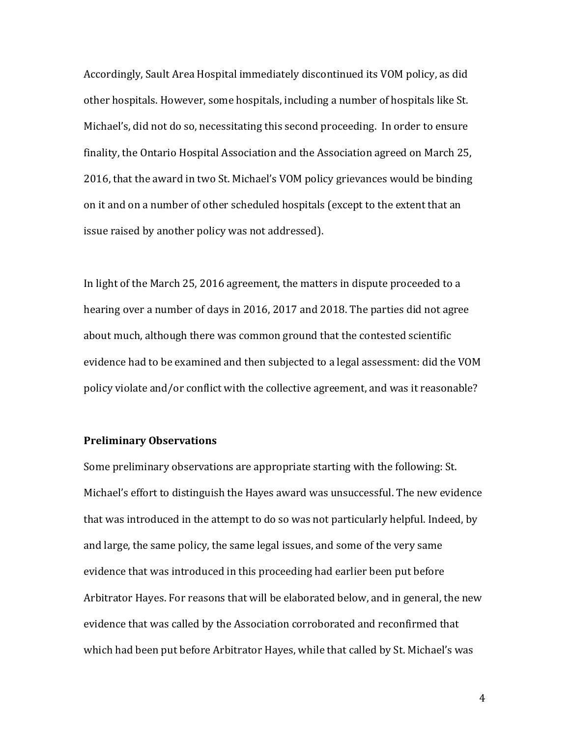Accordingly, Sault Area Hospital immediately discontinued its VOM policy, as did other hospitals. However, some hospitals, including a number of hospitals like St. Michael's, did not do so, necessitating this second proceeding. In order to ensure finality, the Ontario Hospital Association and the Association agreed on March 25, 2016, that the award in two St. Michael's VOM policy grievances would be binding on it and on a number of other scheduled hospitals (except to the extent that an issue raised by another policy was not addressed).

In light of the March 25, 2016 agreement, the matters in dispute proceeded to a hearing over a number of days in 2016, 2017 and 2018. The parties did not agree about much, although there was common ground that the contested scientific evidence had to be examined and then subjected to a legal assessment: did the VOM policy violate and/or conflict with the collective agreement, and was it reasonable?

## **Preliminary Observations**

Some preliminary observations are appropriate starting with the following: St. Michael's effort to distinguish the Hayes award was unsuccessful. The new evidence that was introduced in the attempt to do so was not particularly helpful. Indeed, by and large, the same policy, the same legal issues, and some of the very same evidence that was introduced in this proceeding had earlier been put before Arbitrator Hayes. For reasons that will be elaborated below, and in general, the new evidence that was called by the Association corroborated and reconfirmed that which had been put before Arbitrator Hayes, while that called by St. Michael's was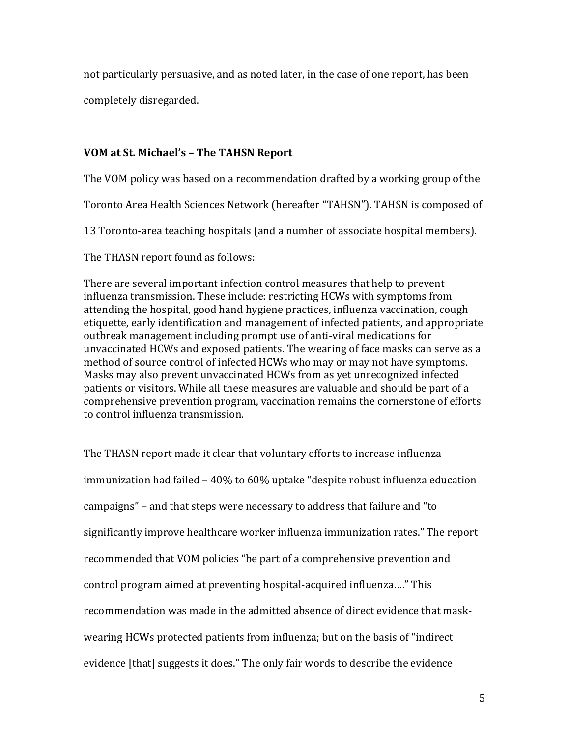not particularly persuasive, and as noted later, in the case of one report, has been

completely disregarded. 

# **VOM at St. Michael's – The TAHSN Report**

The VOM policy was based on a recommendation drafted by a working group of the

Toronto Area Health Sciences Network (hereafter "TAHSN"). TAHSN is composed of

13 Toronto-area teaching hospitals (and a number of associate hospital members).

The THASN report found as follows:

There are several important infection control measures that help to prevent influenza transmission. These include: restricting HCWs with symptoms from attending the hospital, good hand hygiene practices, influenza vaccination, cough etiquette, early identification and management of infected patients, and appropriate outbreak management including prompt use of anti-viral medications for unvaccinated HCWs and exposed patients. The wearing of face masks can serve as a method of source control of infected HCWs who may or may not have symptoms. Masks may also prevent unvaccinated HCWs from as yet unrecognized infected patients or visitors. While all these measures are valuable and should be part of a comprehensive prevention program, vaccination remains the cornerstone of efforts to control influenza transmission.

The THASN report made it clear that voluntary efforts to increase influenza immunization had failed - 40% to 60% uptake "despite robust influenza education campaigns" – and that steps were necessary to address that failure and "to significantly improve healthcare worker influenza immunization rates." The report recommended that VOM policies "be part of a comprehensive prevention and control program aimed at preventing hospital-acquired influenza...." This recommendation was made in the admitted absence of direct evidence that maskwearing HCWs protected patients from influenza; but on the basis of "indirect" evidence [that] suggests it does." The only fair words to describe the evidence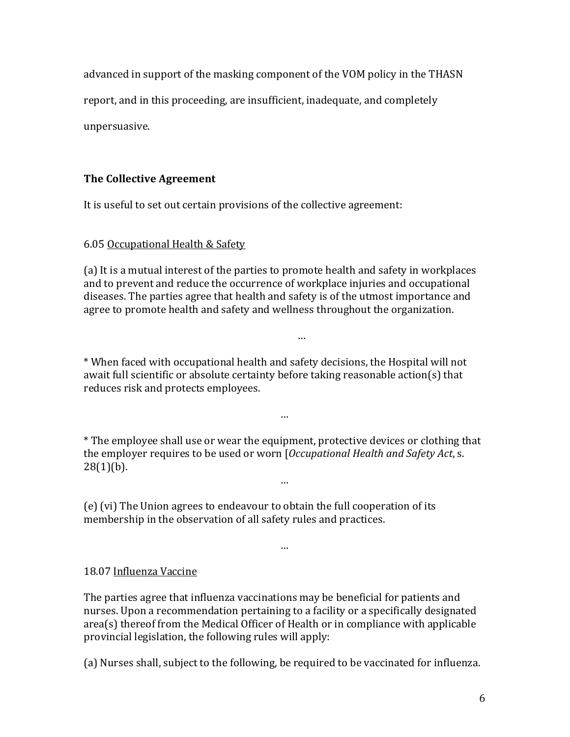advanced in support of the masking component of the VOM policy in the THASN

report, and in this proceeding, are insufficient, inadequate, and completely

unpersuasive.

# **The Collective Agreement**

It is useful to set out certain provisions of the collective agreement:

# 6.05 Occupational Health & Safety

(a) It is a mutual interest of the parties to promote health and safety in workplaces and to prevent and reduce the occurrence of workplace injuries and occupational diseases. The parties agree that health and safety is of the utmost importance and agree to promote health and safety and wellness throughout the organization.

…

\* When faced with occupational health and safety decisions, the Hospital will not await full scientific or absolute certainty before taking reasonable  $action(s)$  that reduces risk and protects employees.

\* The employee shall use or wear the equipment, protective devices or clothing that the employer requires to be used or worn [*Occupational Health and Safety Act*, s.  $28(1)(b)$ .

…

…

…

(e) (vi) The Union agrees to endeavour to obtain the full cooperation of its membership in the observation of all safety rules and practices.

# 18.07 Influenza Vaccine

The parties agree that influenza vaccinations may be beneficial for patients and nurses. Upon a recommendation pertaining to a facility or a specifically designated  $area(s)$  thereof from the Medical Officer of Health or in compliance with applicable provincial legislation, the following rules will apply:

(a) Nurses shall, subject to the following, be required to be vaccinated for influenza.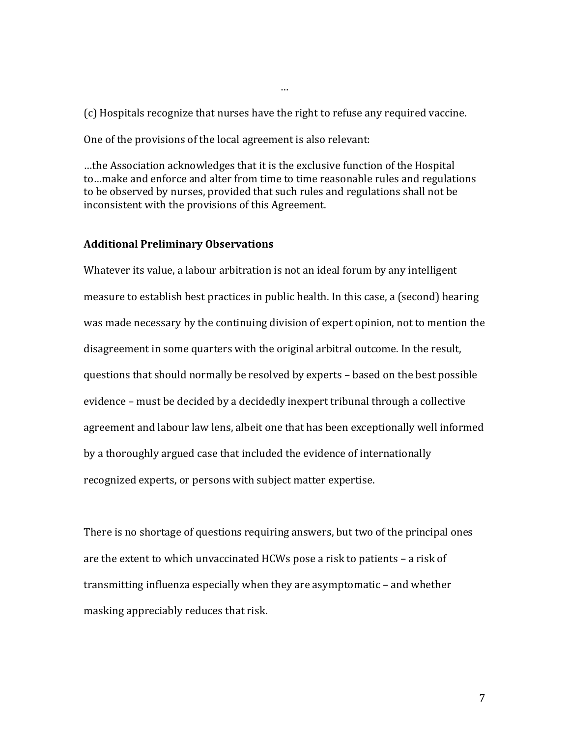(c) Hospitals recognize that nurses have the right to refuse any required vaccine.

…

One of the provisions of the local agreement is also relevant:

...the Association acknowledges that it is the exclusive function of the Hospital to...make and enforce and alter from time to time reasonable rules and regulations to be observed by nurses, provided that such rules and regulations shall not be inconsistent with the provisions of this Agreement.

#### **Additional Preliminary Observations**

Whatever its value, a labour arbitration is not an ideal forum by any intelligent measure to establish best practices in public health. In this case, a (second) hearing was made necessary by the continuing division of expert opinion, not to mention the disagreement in some quarters with the original arbitral outcome. In the result, questions that should normally be resolved by experts - based on the best possible evidence – must be decided by a decidedly inexpert tribunal through a collective agreement and labour law lens, albeit one that has been exceptionally well informed by a thoroughly argued case that included the evidence of internationally recognized experts, or persons with subject matter expertise.

There is no shortage of questions requiring answers, but two of the principal ones are the extent to which unvaccinated HCWs pose a risk to patients  $-$  a risk of transmitting influenza especially when they are asymptomatic – and whether masking appreciably reduces that risk.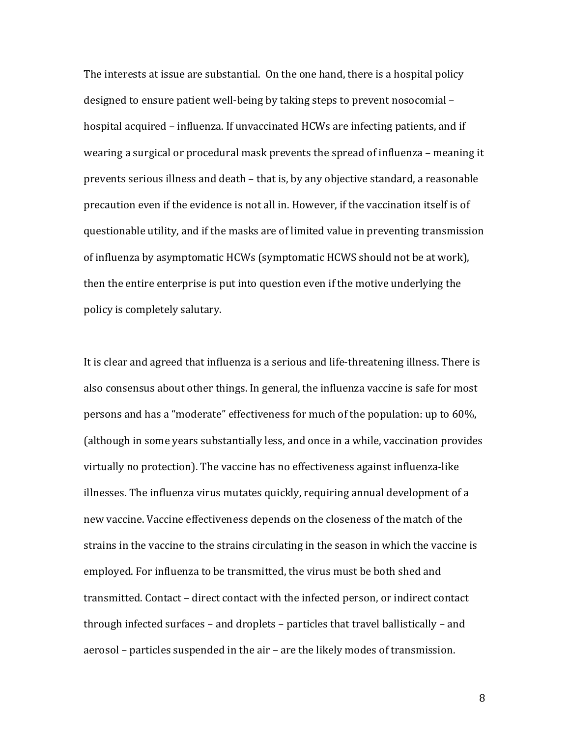The interests at issue are substantial. On the one hand, there is a hospital policy designed to ensure patient well-being by taking steps to prevent nosocomial – hospital acquired – influenza. If unvaccinated HCWs are infecting patients, and if wearing a surgical or procedural mask prevents the spread of influenza – meaning it prevents serious illness and death – that is, by any objective standard, a reasonable precaution even if the evidence is not all in. However, if the vaccination itself is of questionable utility, and if the masks are of limited value in preventing transmission of influenza by asymptomatic HCWs (symptomatic HCWS should not be at work), then the entire enterprise is put into question even if the motive underlying the policy is completely salutary.

It is clear and agreed that influenza is a serious and life-threatening illness. There is also consensus about other things. In general, the influenza vaccine is safe for most persons and has a "moderate" effectiveness for much of the population: up to 60%, (although in some years substantially less, and once in a while, vaccination provides virtually no protection). The vaccine has no effectiveness against influenza-like illnesses. The influenza virus mutates quickly, requiring annual development of a new vaccine. Vaccine effectiveness depends on the closeness of the match of the strains in the vaccine to the strains circulating in the season in which the vaccine is employed. For influenza to be transmitted, the virus must be both shed and transmitted. Contact - direct contact with the infected person, or indirect contact through infected surfaces  $-$  and droplets  $-$  particles that travel ballistically  $-$  and aerosol – particles suspended in the air – are the likely modes of transmission.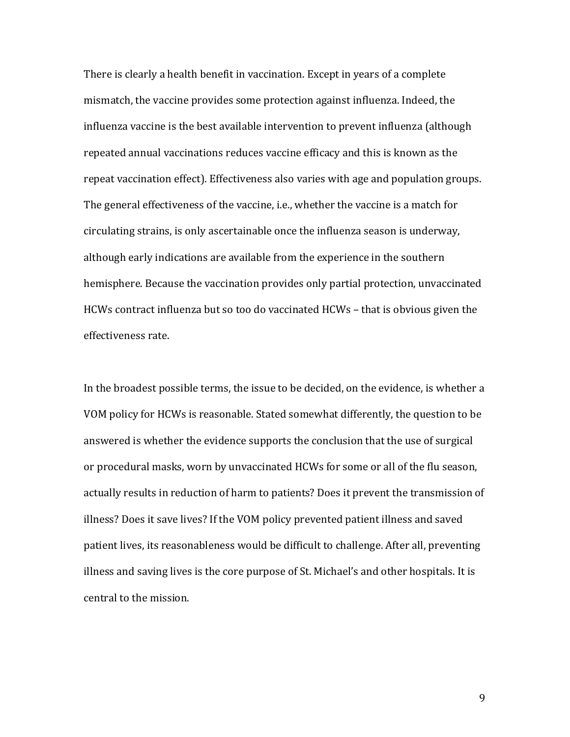There is clearly a health benefit in vaccination. Except in years of a complete mismatch, the vaccine provides some protection against influenza. Indeed, the influenza vaccine is the best available intervention to prevent influenza (although repeated annual vaccinations reduces vaccine efficacy and this is known as the repeat vaccination effect). Effectiveness also varies with age and population groups. The general effectiveness of the vaccine, i.e., whether the vaccine is a match for circulating strains, is only ascertainable once the influenza season is underway, although early indications are available from the experience in the southern hemisphere. Because the vaccination provides only partial protection, unvaccinated HCWs contract influenza but so too do vaccinated  $HCWs - that$  is obvious given the effectiveness rate.

In the broadest possible terms, the issue to be decided, on the evidence, is whether a VOM policy for HCWs is reasonable. Stated somewhat differently, the question to be answered is whether the evidence supports the conclusion that the use of surgical or procedural masks, worn by unvaccinated HCWs for some or all of the flu season, actually results in reduction of harm to patients? Does it prevent the transmission of illness? Does it save lives? If the VOM policy prevented patient illness and saved patient lives, its reasonableness would be difficult to challenge. After all, preventing illness and saving lives is the core purpose of St. Michael's and other hospitals. It is central to the mission.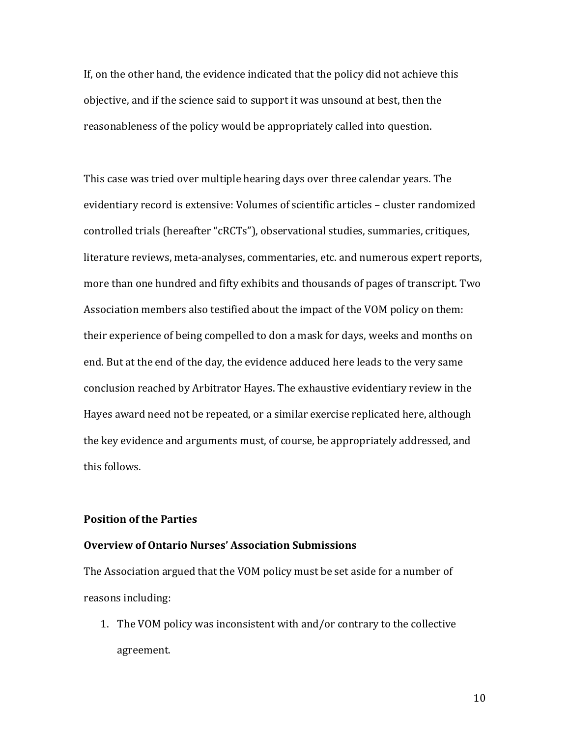If, on the other hand, the evidence indicated that the policy did not achieve this objective, and if the science said to support it was unsound at best, then the reasonableness of the policy would be appropriately called into question.

This case was tried over multiple hearing days over three calendar years. The evidentiary record is extensive: Volumes of scientific articles - cluster randomized controlled trials (hereafter "cRCTs"), observational studies, summaries, critiques, literature reviews, meta-analyses, commentaries, etc. and numerous expert reports, more than one hundred and fifty exhibits and thousands of pages of transcript. Two Association members also testified about the impact of the VOM policy on them: their experience of being compelled to don a mask for days, weeks and months on end. But at the end of the day, the evidence adduced here leads to the very same conclusion reached by Arbitrator Hayes. The exhaustive evidentiary review in the Hayes award need not be repeated, or a similar exercise replicated here, although the key evidence and arguments must, of course, be appropriately addressed, and this follows.

# **Position of the Parties**

# **Overview of Ontario Nurses' Association Submissions**

The Association argued that the VOM policy must be set aside for a number of reasons including:

1. The VOM policy was inconsistent with and/or contrary to the collective agreement.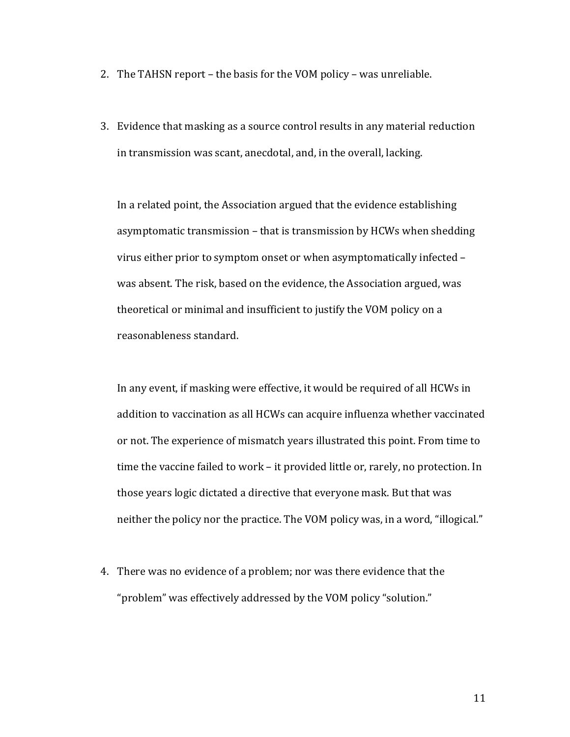- 2. The TAHSN report the basis for the VOM policy was unreliable.
- 3. Evidence that masking as a source control results in any material reduction in transmission was scant, anecdotal, and, in the overall, lacking.

In a related point, the Association argued that the evidence establishing asymptomatic transmission – that is transmission by HCWs when shedding virus either prior to symptom onset or when asymptomatically infected was absent. The risk, based on the evidence, the Association argued, was theoretical or minimal and insufficient to justify the VOM policy on a reasonableness standard.

In any event, if masking were effective, it would be required of all HCWs in addition to vaccination as all HCWs can acquire influenza whether vaccinated or not. The experience of mismatch years illustrated this point. From time to time the vaccine failed to work – it provided little or, rarely, no protection. In those years logic dictated a directive that everyone mask. But that was neither the policy nor the practice. The VOM policy was, in a word, "illogical."

4. There was no evidence of a problem; nor was there evidence that the "problem" was effectively addressed by the VOM policy "solution."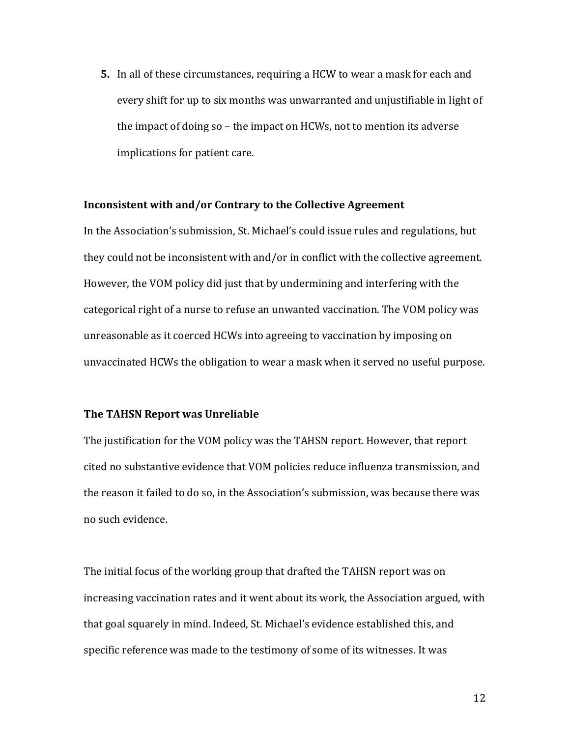**5.** In all of these circumstances, requiring a HCW to wear a mask for each and every shift for up to six months was unwarranted and unjustifiable in light of the impact of doing so  $-$  the impact on HCWs, not to mention its adverse implications for patient care.

## **Inconsistent with and/or Contrary to the Collective Agreement**

In the Association's submission, St. Michael's could issue rules and regulations, but they could not be inconsistent with and/or in conflict with the collective agreement. However, the VOM policy did just that by undermining and interfering with the categorical right of a nurse to refuse an unwanted vaccination. The VOM policy was unreasonable as it coerced HCWs into agreeing to vaccination by imposing on unvaccinated HCWs the obligation to wear a mask when it served no useful purpose.

## **The TAHSN Report was Unreliable**

The justification for the VOM policy was the TAHSN report. However, that report cited no substantive evidence that VOM policies reduce influenza transmission, and the reason it failed to do so, in the Association's submission, was because there was no such evidence.

The initial focus of the working group that drafted the TAHSN report was on increasing vaccination rates and it went about its work, the Association argued, with that goal squarely in mind. Indeed, St. Michael's evidence established this, and specific reference was made to the testimony of some of its witnesses. It was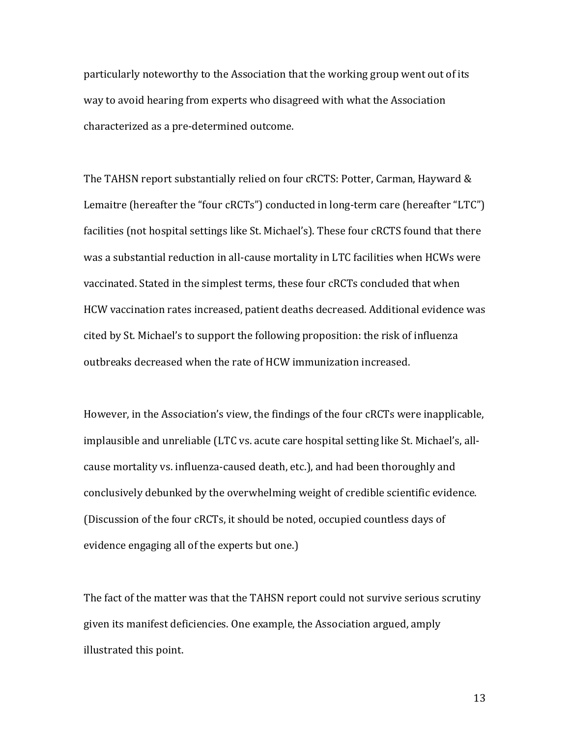particularly noteworthy to the Association that the working group went out of its way to avoid hearing from experts who disagreed with what the Association characterized as a pre-determined outcome.

The TAHSN report substantially relied on four cRCTS: Potter, Carman, Hayward & Lemaitre (hereafter the "four cRCTs") conducted in long-term care (hereafter "LTC") facilities (not hospital settings like St. Michael's). These four cRCTS found that there was a substantial reduction in all-cause mortality in LTC facilities when HCWs were vaccinated. Stated in the simplest terms, these four cRCTs concluded that when HCW vaccination rates increased, patient deaths decreased. Additional evidence was cited by St. Michael's to support the following proposition: the risk of influenza outbreaks decreased when the rate of HCW immunization increased.

However, in the Association's view, the findings of the four cRCTs were inapplicable, implausible and unreliable (LTC vs. acute care hospital setting like St. Michael's, allcause mortality vs. influenza-caused death, etc.), and had been thoroughly and conclusively debunked by the overwhelming weight of credible scientific evidence. (Discussion of the four cRCTs, it should be noted, occupied countless days of evidence engaging all of the experts but one.)

The fact of the matter was that the TAHSN report could not survive serious scrutiny given its manifest deficiencies. One example, the Association argued, amply illustrated this point.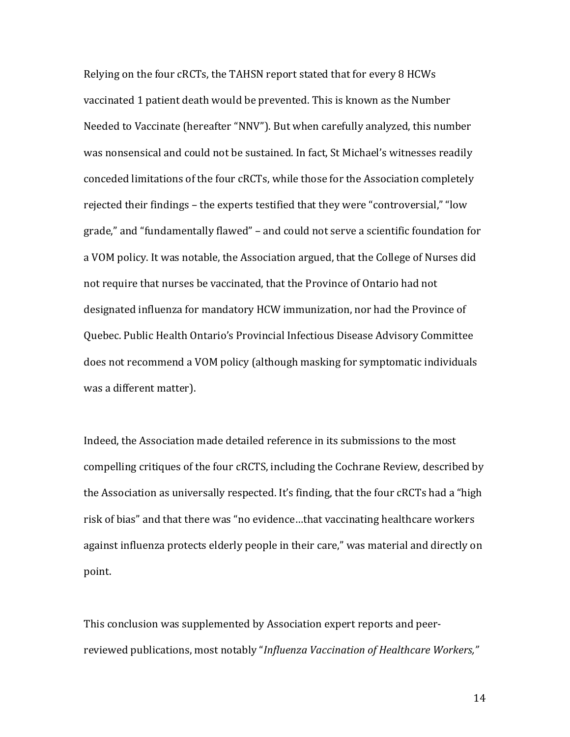Relying on the four cRCTs, the TAHSN report stated that for every 8 HCWs vaccinated 1 patient death would be prevented. This is known as the Number Needed to Vaccinate (hereafter "NNV"). But when carefully analyzed, this number was nonsensical and could not be sustained. In fact, St Michael's witnesses readily conceded limitations of the four cRCTs, while those for the Association completely rejected their findings – the experts testified that they were "controversial," "low grade," and "fundamentally flawed" - and could not serve a scientific foundation for a VOM policy. It was notable, the Association argued, that the College of Nurses did not require that nurses be vaccinated, that the Province of Ontario had not designated influenza for mandatory HCW immunization, nor had the Province of Quebec. Public Health Ontario's Provincial Infectious Disease Advisory Committee does not recommend a VOM policy (although masking for symptomatic individuals was a different matter).

Indeed, the Association made detailed reference in its submissions to the most compelling critiques of the four cRCTS, including the Cochrane Review, described by the Association as universally respected. It's finding, that the four cRCTs had a "high risk of bias" and that there was "no evidence...that vaccinating healthcare workers against influenza protects elderly people in their care," was material and directly on point. 

This conclusion was supplemented by Association expert reports and peerreviewed publications, most notably "*Influenza Vaccination of Healthcare Workers*,"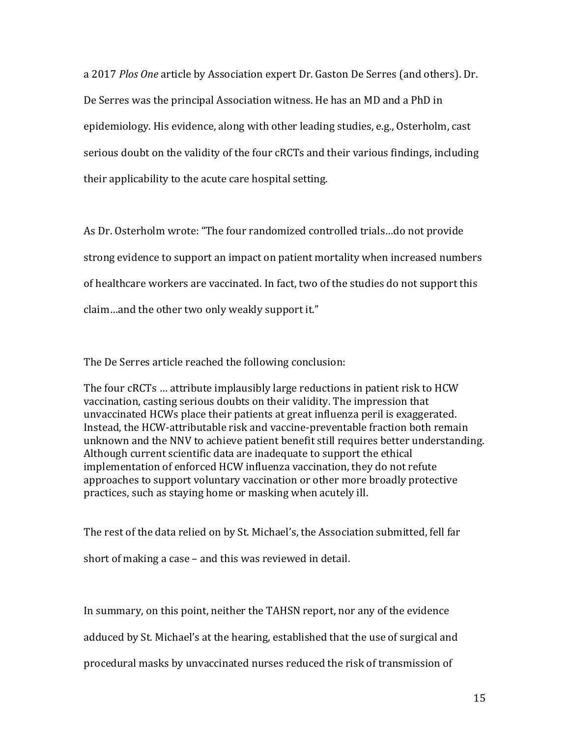a 2017 *Plos One* article by Association expert Dr. Gaston De Serres (and others). Dr. De Serres was the principal Association witness. He has an MD and a PhD in epidemiology. His evidence, along with other leading studies, e.g., Osterholm, cast serious doubt on the validity of the four cRCTs and their various findings, including their applicability to the acute care hospital setting.

As Dr. Osterholm wrote: "The four randomized controlled trials...do not provide strong evidence to support an impact on patient mortality when increased numbers of healthcare workers are vaccinated. In fact, two of the studies do not support this claim...and the other two only weakly support it."

The De Serres article reached the following conclusion:

The four cRCTs ... attribute implausibly large reductions in patient risk to HCW vaccination, casting serious doubts on their validity. The impression that unvaccinated HCWs place their patients at great influenza peril is exaggerated. Instead, the HCW-attributable risk and vaccine-preventable fraction both remain unknown and the NNV to achieve patient benefit still requires better understanding. Although current scientific data are inadequate to support the ethical implementation of enforced HCW influenza vaccination, they do not refute approaches to support voluntary vaccination or other more broadly protective practices, such as staying home or masking when acutely ill.

The rest of the data relied on by St. Michael's, the Association submitted, fell far short of making a case  $-$  and this was reviewed in detail.

In summary, on this point, neither the TAHSN report, nor any of the evidence

adduced by St. Michael's at the hearing, established that the use of surgical and

procedural masks by unvaccinated nurses reduced the risk of transmission of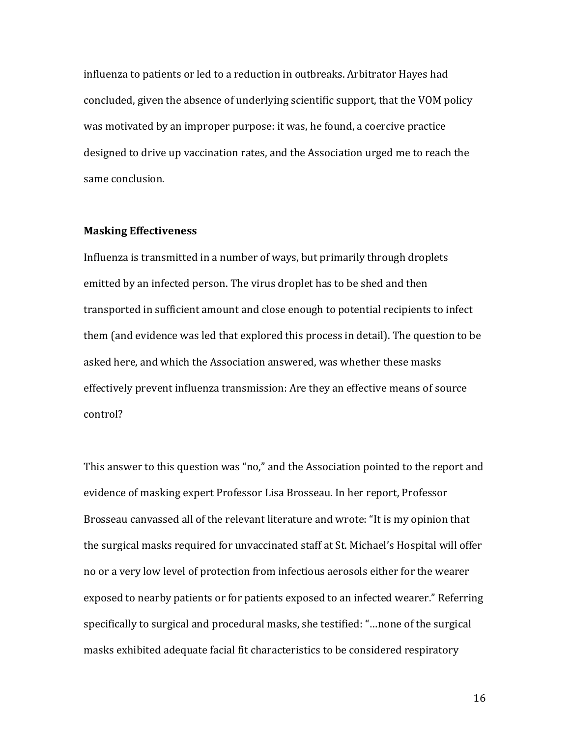influenza to patients or led to a reduction in outbreaks. Arbitrator Hayes had concluded, given the absence of underlying scientific support, that the VOM policy was motivated by an improper purpose: it was, he found, a coercive practice designed to drive up vaccination rates, and the Association urged me to reach the same conclusion.

#### **Masking Effectiveness**

Influenza is transmitted in a number of ways, but primarily through droplets emitted by an infected person. The virus droplet has to be shed and then transported in sufficient amount and close enough to potential recipients to infect them (and evidence was led that explored this process in detail). The question to be asked here, and which the Association answered, was whether these masks effectively prevent influenza transmission: Are they an effective means of source control?

This answer to this question was "no," and the Association pointed to the report and evidence of masking expert Professor Lisa Brosseau. In her report, Professor Brosseau canvassed all of the relevant literature and wrote: "It is my opinion that the surgical masks required for unvaccinated staff at St. Michael's Hospital will offer no or a very low level of protection from infectious aerosols either for the wearer exposed to nearby patients or for patients exposed to an infected wearer." Referring specifically to surgical and procedural masks, she testified: "...none of the surgical masks exhibited adequate facial fit characteristics to be considered respiratory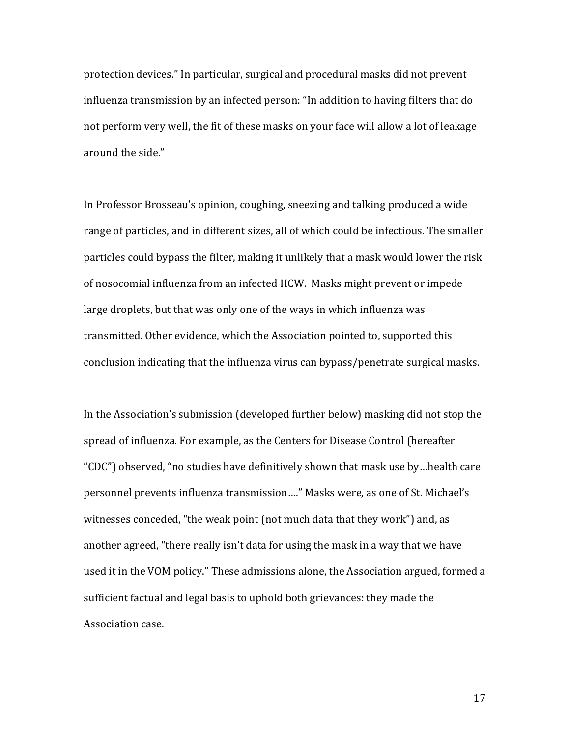protection devices." In particular, surgical and procedural masks did not prevent influenza transmission by an infected person: "In addition to having filters that do not perform very well, the fit of these masks on your face will allow a lot of leakage around the side."

In Professor Brosseau's opinion, coughing, sneezing and talking produced a wide range of particles, and in different sizes, all of which could be infectious. The smaller particles could bypass the filter, making it unlikely that a mask would lower the risk of nosocomial influenza from an infected HCW. Masks might prevent or impede large droplets, but that was only one of the ways in which influenza was transmitted. Other evidence, which the Association pointed to, supported this conclusion indicating that the influenza virus can bypass/penetrate surgical masks.

In the Association's submission (developed further below) masking did not stop the spread of influenza. For example, as the Centers for Disease Control (hereafter "CDC") observed, "no studies have definitively shown that mask use by...health care personnel prevents influenza transmission...." Masks were, as one of St. Michael's witnesses conceded, "the weak point (not much data that they work") and, as another agreed, "there really isn't data for using the mask in a way that we have used it in the VOM policy." These admissions alone, the Association argued, formed a sufficient factual and legal basis to uphold both grievances: they made the Association case.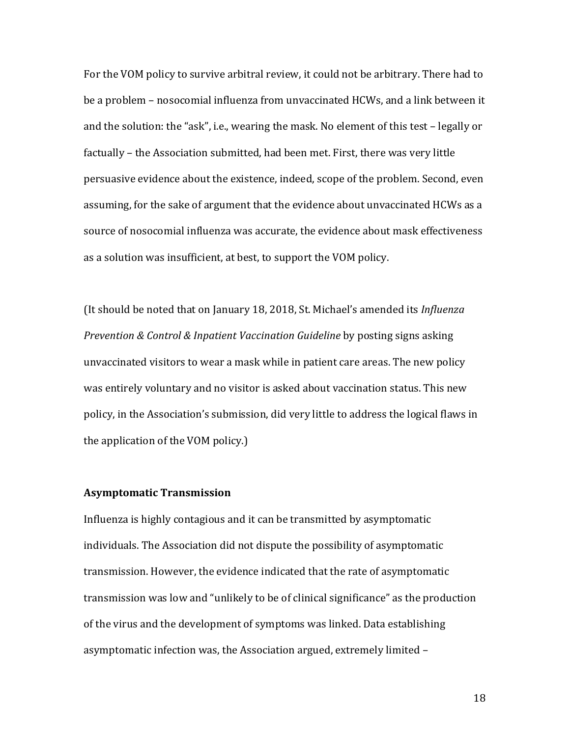For the VOM policy to survive arbitral review, it could not be arbitrary. There had to be a problem – nosocomial influenza from unvaccinated HCWs, and a link between it and the solution: the "ask", i.e., wearing the mask. No element of this test - legally or factually – the Association submitted, had been met. First, there was very little persuasive evidence about the existence, indeed, scope of the problem. Second, even assuming, for the sake of argument that the evidence about unvaccinated HCWs as a source of nosocomial influenza was accurate, the evidence about mask effectiveness as a solution was insufficient, at best, to support the VOM policy.

(It should be noted that on January 18, 2018, St. Michael's amended its *Influenza Prevention & Control & Inpatient Vaccination Guideline* by posting signs asking unvaccinated visitors to wear a mask while in patient care areas. The new policy was entirely voluntary and no visitor is asked about vaccination status. This new policy, in the Association's submission, did very little to address the logical flaws in the application of the VOM policy.)

## **Asymptomatic Transmission**

Influenza is highly contagious and it can be transmitted by asymptomatic individuals. The Association did not dispute the possibility of asymptomatic transmission. However, the evidence indicated that the rate of asymptomatic transmission was low and "unlikely to be of clinical significance" as the production of the virus and the development of symptoms was linked. Data establishing asymptomatic infection was, the Association argued, extremely limited -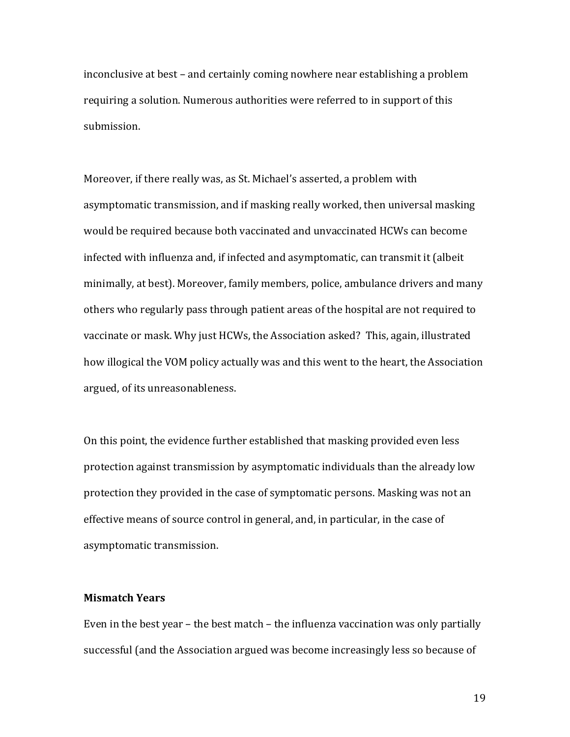inconclusive at best – and certainly coming nowhere near establishing a problem requiring a solution. Numerous authorities were referred to in support of this submission.

Moreover, if there really was, as St. Michael's asserted, a problem with asymptomatic transmission, and if masking really worked, then universal masking would be required because both vaccinated and unvaccinated HCWs can become infected with influenza and, if infected and asymptomatic, can transmit it (albeit minimally, at best). Moreover, family members, police, ambulance drivers and many others who regularly pass through patient areas of the hospital are not required to vaccinate or mask. Why just HCWs, the Association asked? This, again, illustrated how illogical the VOM policy actually was and this went to the heart, the Association argued, of its unreasonableness.

On this point, the evidence further established that masking provided even less protection against transmission by asymptomatic individuals than the already low protection they provided in the case of symptomatic persons. Masking was not an effective means of source control in general, and, in particular, in the case of asymptomatic transmission.

## **Mismatch Years**

Even in the best year  $-$  the best match  $-$  the influenza vaccination was only partially successful (and the Association argued was become increasingly less so because of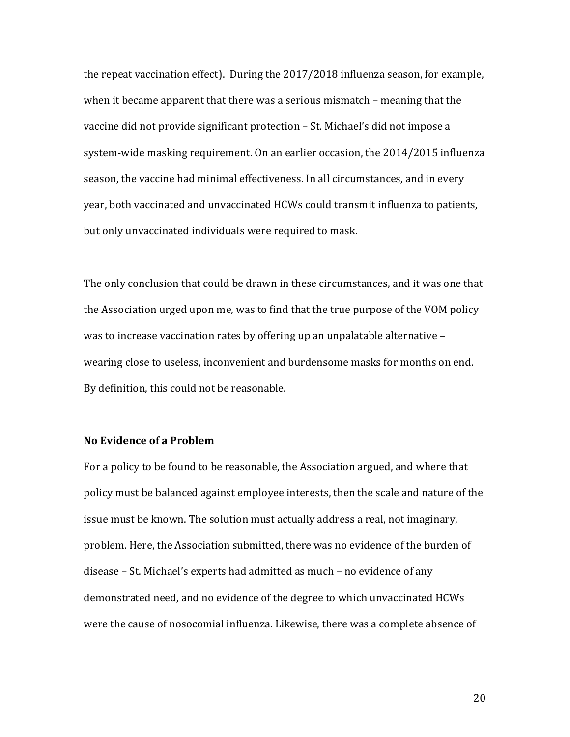the repeat vaccination effect). During the  $2017/2018$  influenza season, for example, when it became apparent that there was a serious mismatch – meaning that the vaccine did not provide significant protection - St. Michael's did not impose a system-wide masking requirement. On an earlier occasion, the 2014/2015 influenza season, the vaccine had minimal effectiveness. In all circumstances, and in every year, both vaccinated and unvaccinated HCWs could transmit influenza to patients, but only unvaccinated individuals were required to mask.

The only conclusion that could be drawn in these circumstances, and it was one that the Association urged upon me, was to find that the true purpose of the VOM policy was to increase vaccination rates by offering up an unpalatable alternative  $$ wearing close to useless, inconvenient and burdensome masks for months on end. By definition, this could not be reasonable.

## **No Evidence of a Problem**

For a policy to be found to be reasonable, the Association argued, and where that policy must be balanced against employee interests, then the scale and nature of the issue must be known. The solution must actually address a real, not imaginary, problem. Here, the Association submitted, there was no evidence of the burden of disease - St. Michael's experts had admitted as much - no evidence of any demonstrated need, and no evidence of the degree to which unvaccinated HCWs were the cause of nosocomial influenza. Likewise, there was a complete absence of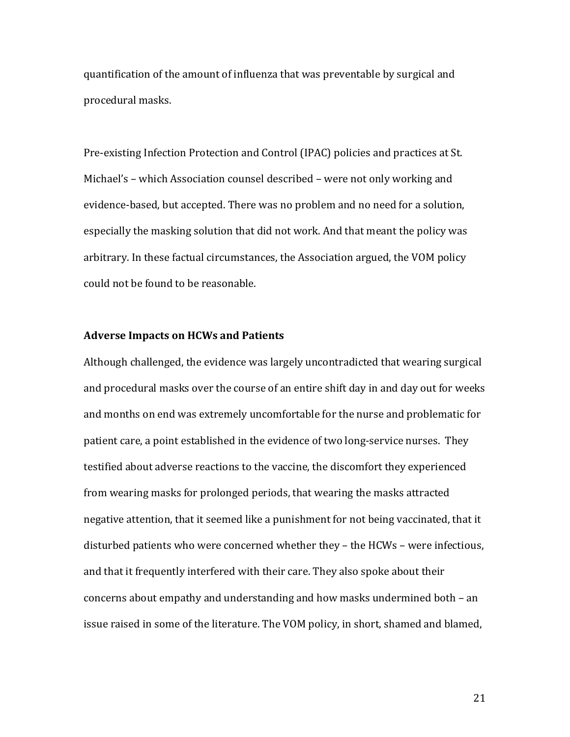quantification of the amount of influenza that was preventable by surgical and procedural masks.

Pre-existing Infection Protection and Control (IPAC) policies and practices at St. Michael's - which Association counsel described - were not only working and evidence-based, but accepted. There was no problem and no need for a solution, especially the masking solution that did not work. And that meant the policy was arbitrary. In these factual circumstances, the Association argued, the VOM policy could not be found to be reasonable.

## **Adverse Impacts on HCWs and Patients**

Although challenged, the evidence was largely uncontradicted that wearing surgical and procedural masks over the course of an entire shift day in and day out for weeks and months on end was extremely uncomfortable for the nurse and problematic for patient care, a point established in the evidence of two long-service nurses. They testified about adverse reactions to the vaccine, the discomfort they experienced from wearing masks for prolonged periods, that wearing the masks attracted negative attention, that it seemed like a punishment for not being vaccinated, that it disturbed patients who were concerned whether they – the HCWs – were infectious, and that it frequently interfered with their care. They also spoke about their concerns about empathy and understanding and how masks undermined both  $-$  an issue raised in some of the literature. The VOM policy, in short, shamed and blamed,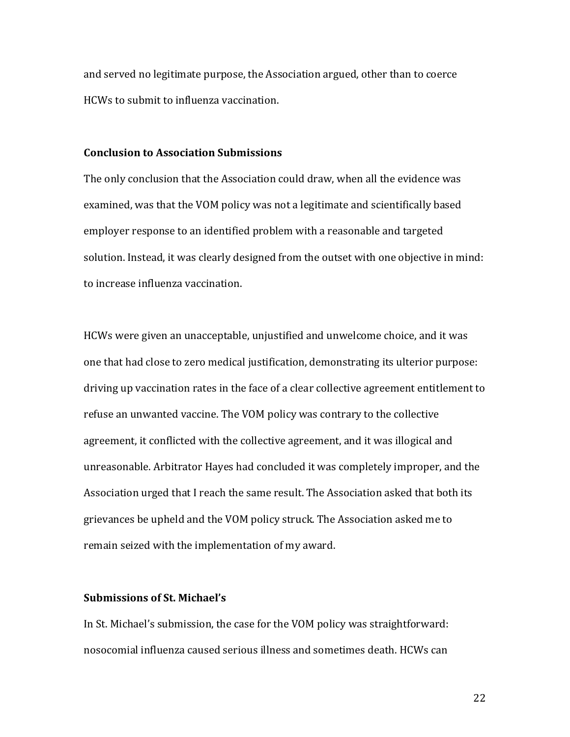and served no legitimate purpose, the Association argued, other than to coerce HCWs to submit to influenza vaccination.

## **Conclusion to Association Submissions**

The only conclusion that the Association could draw, when all the evidence was examined, was that the VOM policy was not a legitimate and scientifically based employer response to an identified problem with a reasonable and targeted solution. Instead, it was clearly designed from the outset with one objective in mind: to increase influenza vaccination.

HCWs were given an unacceptable, unjustified and unwelcome choice, and it was one that had close to zero medical justification, demonstrating its ulterior purpose: driving up vaccination rates in the face of a clear collective agreement entitlement to refuse an unwanted vaccine. The VOM policy was contrary to the collective agreement, it conflicted with the collective agreement, and it was illogical and unreasonable. Arbitrator Hayes had concluded it was completely improper, and the Association urged that I reach the same result. The Association asked that both its grievances be upheld and the VOM policy struck. The Association asked me to remain seized with the implementation of my award.

## **Submissions of St. Michael's**

In St. Michael's submission, the case for the VOM policy was straightforward: nosocomial influenza caused serious illness and sometimes death. HCWs can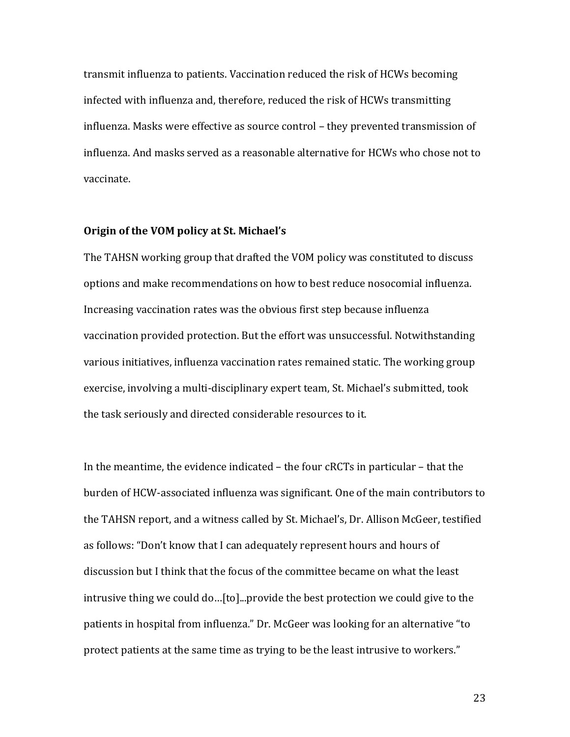transmit influenza to patients. Vaccination reduced the risk of HCWs becoming infected with influenza and, therefore, reduced the risk of HCWs transmitting influenza. Masks were effective as source control - they prevented transmission of influenza. And masks served as a reasonable alternative for HCWs who chose not to vaccinate. 

### **Origin of the VOM policy at St. Michael's**

The TAHSN working group that drafted the VOM policy was constituted to discuss options and make recommendations on how to best reduce nosocomial influenza. Increasing vaccination rates was the obvious first step because influenza vaccination provided protection. But the effort was unsuccessful. Notwithstanding various initiatives, influenza vaccination rates remained static. The working group exercise, involving a multi-disciplinary expert team, St. Michael's submitted, took the task seriously and directed considerable resources to it.

In the meantime, the evidence indicated  $-$  the four cRCTs in particular  $-$  that the burden of HCW-associated influenza was significant. One of the main contributors to the TAHSN report, and a witness called by St. Michael's, Dr. Allison McGeer, testified as follows: "Don't know that I can adequately represent hours and hours of discussion but I think that the focus of the committee became on what the least intrusive thing we could do...[to]...provide the best protection we could give to the patients in hospital from influenza." Dr. McGeer was looking for an alternative "to protect patients at the same time as trying to be the least intrusive to workers."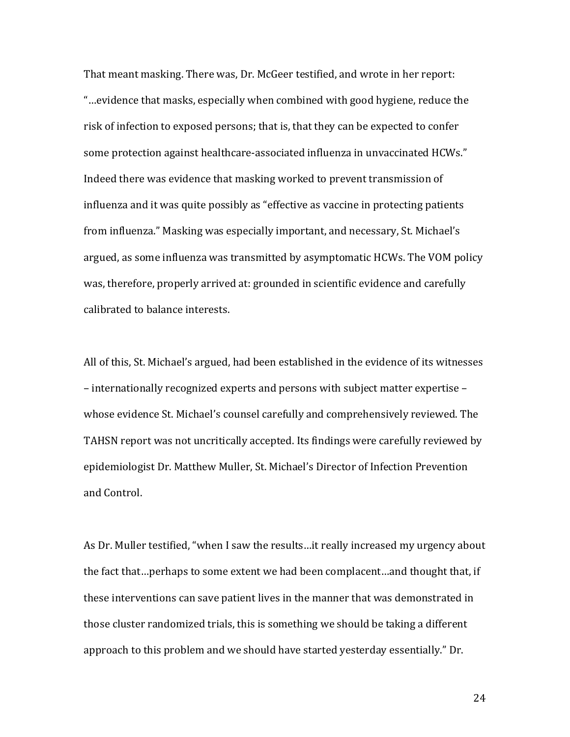That meant masking. There was, Dr. McGeer testified, and wrote in her report: "...evidence that masks, especially when combined with good hygiene, reduce the risk of infection to exposed persons; that is, that they can be expected to confer some protection against healthcare-associated influenza in unvaccinated HCWs." Indeed there was evidence that masking worked to prevent transmission of influenza and it was quite possibly as "effective as vaccine in protecting patients from influenza." Masking was especially important, and necessary, St. Michael's argued, as some influenza was transmitted by asymptomatic HCWs. The VOM policy was, therefore, properly arrived at: grounded in scientific evidence and carefully calibrated to balance interests.

All of this, St. Michael's argued, had been established in the evidence of its witnesses – internationally recognized experts and persons with subject matter expertise – whose evidence St. Michael's counsel carefully and comprehensively reviewed. The TAHSN report was not uncritically accepted. Its findings were carefully reviewed by epidemiologist Dr. Matthew Muller, St. Michael's Director of Infection Prevention and Control.

As Dr. Muller testified, "when I saw the results...it really increased my urgency about the fact that...perhaps to some extent we had been complacent...and thought that, if these interventions can save patient lives in the manner that was demonstrated in those cluster randomized trials, this is something we should be taking a different approach to this problem and we should have started yesterday essentially." Dr.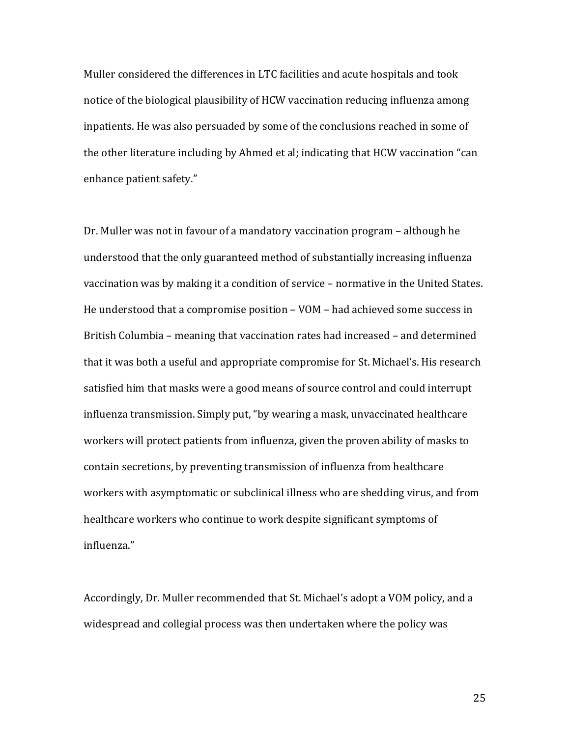Muller considered the differences in LTC facilities and acute hospitals and took notice of the biological plausibility of HCW vaccination reducing influenza among inpatients. He was also persuaded by some of the conclusions reached in some of the other literature including by Ahmed et al; indicating that HCW vaccination "can enhance patient safety."

Dr. Muller was not in favour of a mandatory vaccination program – although he understood that the only guaranteed method of substantially increasing influenza vaccination was by making it a condition of service - normative in the United States. He understood that a compromise position  $-$  VOM  $-$  had achieved some success in British Columbia – meaning that vaccination rates had increased – and determined that it was both a useful and appropriate compromise for St. Michael's. His research satisfied him that masks were a good means of source control and could interrupt influenza transmission. Simply put, "by wearing a mask, unvaccinated healthcare workers will protect patients from influenza, given the proven ability of masks to contain secretions, by preventing transmission of influenza from healthcare workers with asymptomatic or subclinical illness who are shedding virus, and from healthcare workers who continue to work despite significant symptoms of influenza."

Accordingly, Dr. Muller recommended that St. Michael's adopt a VOM policy, and a widespread and collegial process was then undertaken where the policy was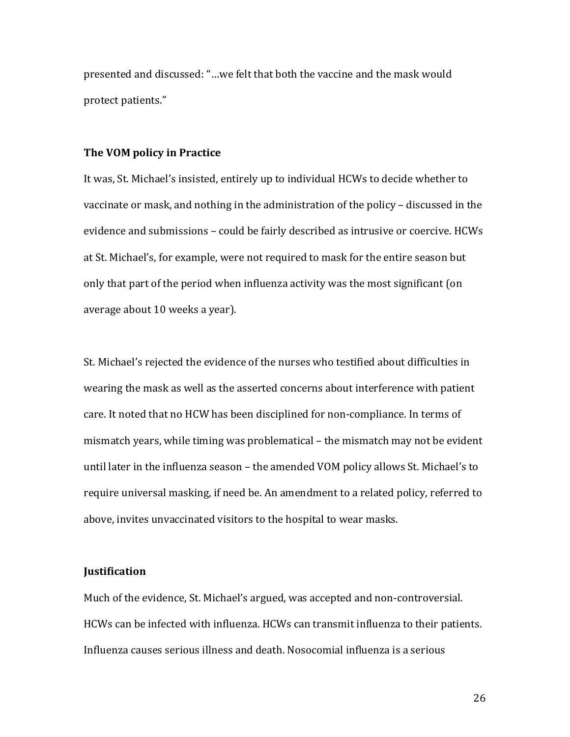presented and discussed: "...we felt that both the vaccine and the mask would protect patients."

#### **The VOM policy in Practice**

It was, St. Michael's insisted, entirely up to individual HCWs to decide whether to vaccinate or mask, and nothing in the administration of the policy – discussed in the evidence and submissions – could be fairly described as intrusive or coercive. HCWs at St. Michael's, for example, were not required to mask for the entire season but only that part of the period when influenza activity was the most significant (on average about 10 weeks a year).

St. Michael's rejected the evidence of the nurses who testified about difficulties in wearing the mask as well as the asserted concerns about interference with patient care. It noted that no HCW has been disciplined for non-compliance. In terms of mismatch years, while timing was problematical  $-$  the mismatch may not be evident until later in the influenza season - the amended VOM policy allows St. Michael's to require universal masking, if need be. An amendment to a related policy, referred to above, invites unvaccinated visitors to the hospital to wear masks.

### **Justification**

Much of the evidence, St. Michael's argued, was accepted and non-controversial. HCWs can be infected with influenza. HCWs can transmit influenza to their patients. Influenza causes serious illness and death. Nosocomial influenza is a serious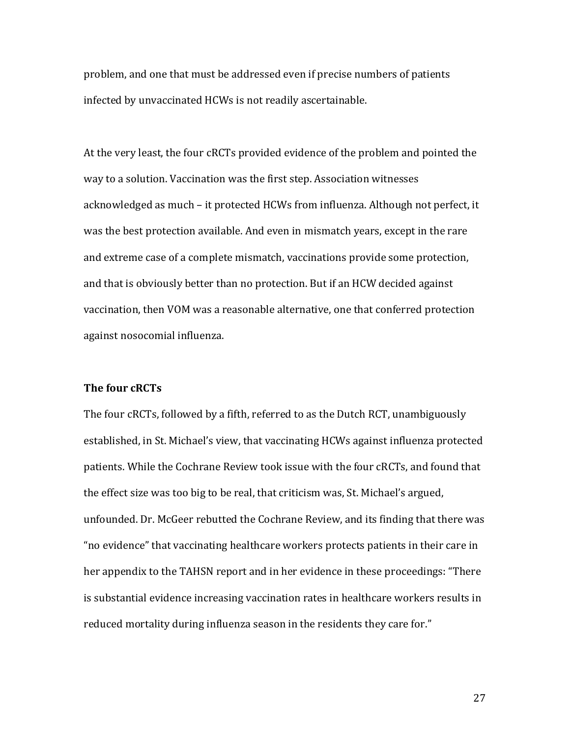problem, and one that must be addressed even if precise numbers of patients infected by unvaccinated HCWs is not readily ascertainable.

At the very least, the four cRCTs provided evidence of the problem and pointed the way to a solution. Vaccination was the first step. Association witnesses acknowledged as much – it protected HCWs from influenza. Although not perfect, it was the best protection available. And even in mismatch years, except in the rare and extreme case of a complete mismatch, vaccinations provide some protection, and that is obviously better than no protection. But if an HCW decided against vaccination, then VOM was a reasonable alternative, one that conferred protection against nosocomial influenza.

# **The four cRCTs**

The four cRCTs, followed by a fifth, referred to as the Dutch RCT, unambiguously established, in St. Michael's view, that vaccinating HCWs against influenza protected patients. While the Cochrane Review took issue with the four cRCTs, and found that the effect size was too big to be real, that criticism was, St. Michael's argued, unfounded. Dr. McGeer rebutted the Cochrane Review, and its finding that there was " no evidence" that vaccinating healthcare workers protects patients in their care in her appendix to the TAHSN report and in her evidence in these proceedings: "There is substantial evidence increasing vaccination rates in healthcare workers results in reduced mortality during influenza season in the residents they care for."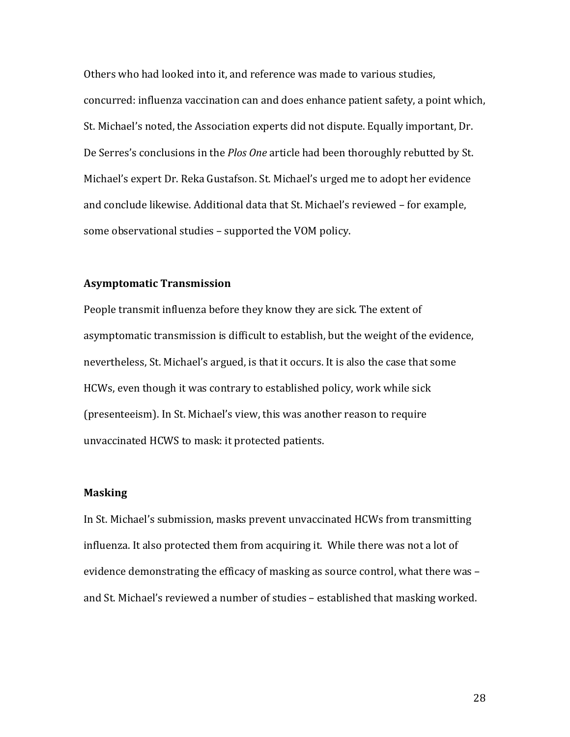Others who had looked into it, and reference was made to various studies, concurred: influenza vaccination can and does enhance patient safety, a point which, St. Michael's noted, the Association experts did not dispute. Equally important, Dr. De Serres's conclusions in the *Plos One* article had been thoroughly rebutted by St. Michael's expert Dr. Reka Gustafson. St. Michael's urged me to adopt her evidence and conclude likewise. Additional data that St. Michael's reviewed - for example, some observational studies - supported the VOM policy.

## **Asymptomatic Transmission**

People transmit influenza before they know they are sick. The extent of asymptomatic transmission is difficult to establish, but the weight of the evidence, nevertheless, St. Michael's argued, is that it occurs. It is also the case that some HCWs, even though it was contrary to established policy, work while sick (presenteeism). In St. Michael's view, this was another reason to require unvaccinated HCWS to mask: it protected patients.

### **Masking**

In St. Michael's submission, masks prevent unvaccinated HCWs from transmitting influenza. It also protected them from acquiring it. While there was not a lot of evidence demonstrating the efficacy of masking as source control, what there was and St. Michael's reviewed a number of studies - established that masking worked.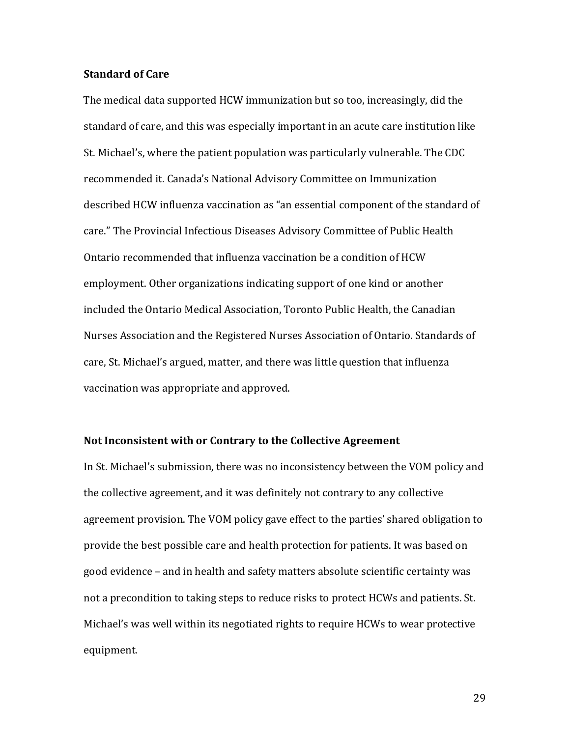#### **Standard of Care**

The medical data supported HCW immunization but so too, increasingly, did the standard of care, and this was especially important in an acute care institution like St. Michael's, where the patient population was particularly vulnerable. The CDC recommended it. Canada's National Advisory Committee on Immunization described HCW influenza vaccination as "an essential component of the standard of care." The Provincial Infectious Diseases Advisory Committee of Public Health Ontario recommended that influenza vaccination be a condition of HCW employment. Other organizations indicating support of one kind or another included the Ontario Medical Association, Toronto Public Health, the Canadian Nurses Association and the Registered Nurses Association of Ontario. Standards of care, St. Michael's argued, matter, and there was little question that influenza vaccination was appropriate and approved.

#### Not Inconsistent with or Contrary to the Collective Agreement

In St. Michael's submission, there was no inconsistency between the VOM policy and the collective agreement, and it was definitely not contrary to any collective agreement provision. The VOM policy gave effect to the parties' shared obligation to provide the best possible care and health protection for patients. It was based on good evidence - and in health and safety matters absolute scientific certainty was not a precondition to taking steps to reduce risks to protect HCWs and patients. St. Michael's was well within its negotiated rights to require HCWs to wear protective equipment.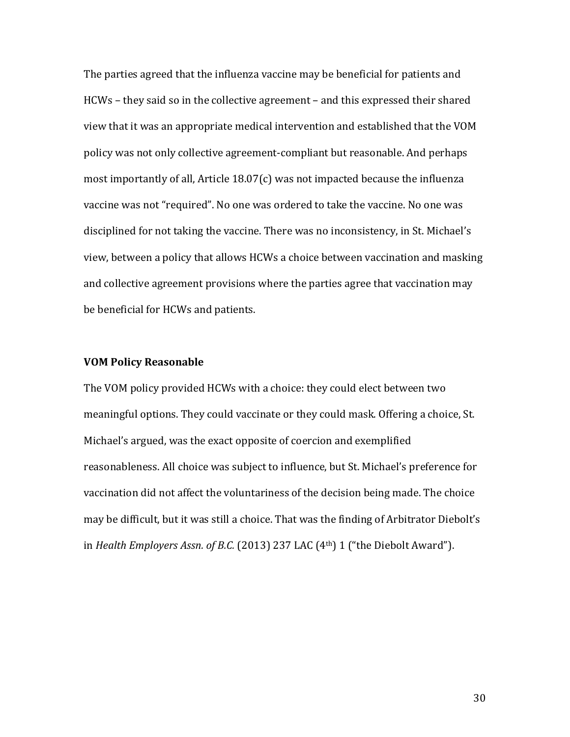The parties agreed that the influenza vaccine may be beneficial for patients and HCWs – they said so in the collective agreement – and this expressed their shared view that it was an appropriate medical intervention and established that the VOM policy was not only collective agreement-compliant but reasonable. And perhaps most importantly of all, Article  $18.07(c)$  was not impacted because the influenza vaccine was not "required". No one was ordered to take the vaccine. No one was disciplined for not taking the vaccine. There was no inconsistency, in St. Michael's view, between a policy that allows HCWs a choice between vaccination and masking and collective agreement provisions where the parties agree that vaccination may be beneficial for HCWs and patients.

#### **VOM Policy Reasonable**

The VOM policy provided HCWs with a choice: they could elect between two meaningful options. They could vaccinate or they could mask. Offering a choice, St. Michael's argued, was the exact opposite of coercion and exemplified reasonableness. All choice was subject to influence, but St. Michael's preference for vaccination did not affect the voluntariness of the decision being made. The choice may be difficult, but it was still a choice. That was the finding of Arbitrator Diebolt's in *Health Employers Assn. of B.C.* (2013) 237 LAC (4<sup>th</sup>) 1 ("the Diebolt Award").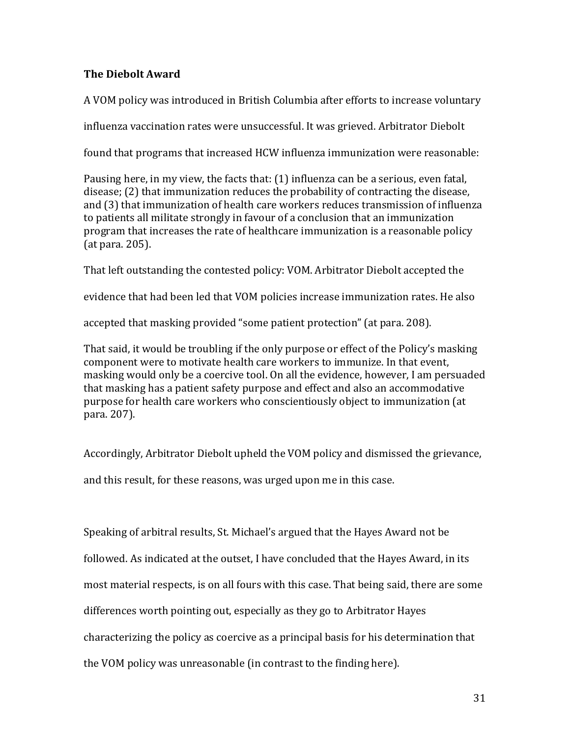# **The Diebolt Award**

A VOM policy was introduced in British Columbia after efforts to increase voluntary

influenza vaccination rates were unsuccessful. It was grieved. Arbitrator Diebolt

found that programs that increased HCW influenza immunization were reasonable:

Pausing here, in my view, the facts that:  $(1)$  influenza can be a serious, even fatal,  $disease$ ; (2) that immunization reduces the probability of contracting the disease, and (3) that immunization of health care workers reduces transmission of influenza to patients all militate strongly in favour of a conclusion that an immunization program that increases the rate of healthcare immunization is a reasonable policy  $(at para. 205)$ .

That left outstanding the contested policy: VOM. Arbitrator Diebolt accepted the

evidence that had been led that VOM policies increase immunization rates. He also

accepted that masking provided "some patient protection" (at para. 208).

That said, it would be troubling if the only purpose or effect of the Policy's masking component were to motivate health care workers to immunize. In that event, masking would only be a coercive tool. On all the evidence, however, I am persuaded that masking has a patient safety purpose and effect and also an accommodative purpose for health care workers who conscientiously object to immunization (at para. 207).

Accordingly, Arbitrator Diebolt upheld the VOM policy and dismissed the grievance,

and this result, for these reasons, was urged upon me in this case.

Speaking of arbitral results, St. Michael's argued that the Hayes Award not be followed. As indicated at the outset, I have concluded that the Hayes Award, in its most material respects, is on all fours with this case. That being said, there are some differences worth pointing out, especially as they go to Arbitrator Hayes characterizing the policy as coercive as a principal basis for his determination that the VOM policy was unreasonable (in contrast to the finding here).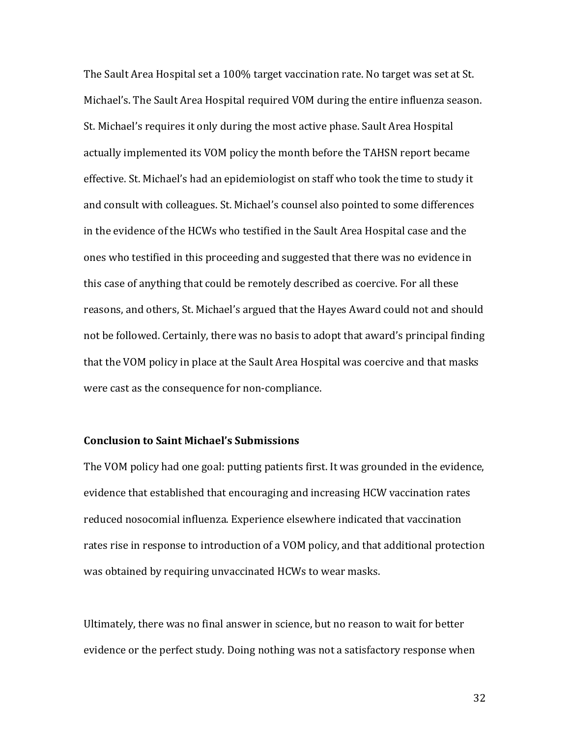The Sault Area Hospital set a 100% target vaccination rate. No target was set at St. Michael's. The Sault Area Hospital required VOM during the entire influenza season. St. Michael's requires it only during the most active phase. Sault Area Hospital actually implemented its VOM policy the month before the TAHSN report became effective. St. Michael's had an epidemiologist on staff who took the time to study it and consult with colleagues. St. Michael's counsel also pointed to some differences in the evidence of the HCWs who testified in the Sault Area Hospital case and the ones who testified in this proceeding and suggested that there was no evidence in this case of anything that could be remotely described as coercive. For all these reasons, and others, St. Michael's argued that the Hayes Award could not and should not be followed. Certainly, there was no basis to adopt that award's principal finding that the VOM policy in place at the Sault Area Hospital was coercive and that masks were cast as the consequence for non-compliance.

## **Conclusion to Saint Michael's Submissions**

The VOM policy had one goal: putting patients first. It was grounded in the evidence, evidence that established that encouraging and increasing HCW vaccination rates reduced nosocomial influenza. Experience elsewhere indicated that vaccination rates rise in response to introduction of a VOM policy, and that additional protection was obtained by requiring unvaccinated HCWs to wear masks.

Ultimately, there was no final answer in science, but no reason to wait for better evidence or the perfect study. Doing nothing was not a satisfactory response when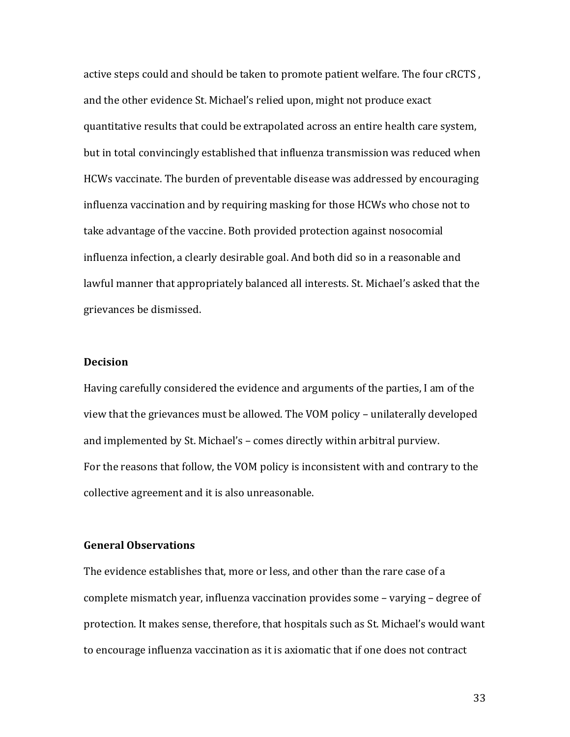active steps could and should be taken to promote patient welfare. The four cRCTS, and the other evidence St. Michael's relied upon, might not produce exact quantitative results that could be extrapolated across an entire health care system, but in total convincingly established that influenza transmission was reduced when HCWs vaccinate. The burden of preventable disease was addressed by encouraging influenza vaccination and by requiring masking for those HCWs who chose not to take advantage of the vaccine. Both provided protection against nosocomial influenza infection, a clearly desirable goal. And both did so in a reasonable and lawful manner that appropriately balanced all interests. St. Michael's asked that the grievances be dismissed.

#### **Decision**

Having carefully considered the evidence and arguments of the parties, I am of the view that the grievances must be allowed. The VOM policy - unilaterally developed and implemented by St. Michael's – comes directly within arbitral purview. For the reasons that follow, the VOM policy is inconsistent with and contrary to the collective agreement and it is also unreasonable.

## **General Observations**

The evidence establishes that, more or less, and other than the rare case of a complete mismatch year, influenza vaccination provides some - varying - degree of protection. It makes sense, therefore, that hospitals such as St. Michael's would want to encourage influenza vaccination as it is axiomatic that if one does not contract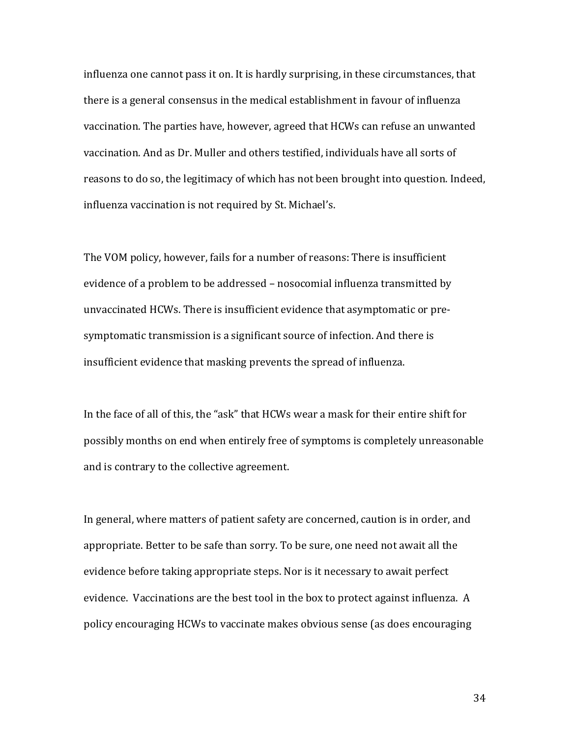influenza one cannot pass it on. It is hardly surprising, in these circumstances, that there is a general consensus in the medical establishment in favour of influenza vaccination. The parties have, however, agreed that HCWs can refuse an unwanted vaccination. And as Dr. Muller and others testified, individuals have all sorts of reasons to do so, the legitimacy of which has not been brought into question. Indeed, influenza vaccination is not required by St. Michael's.

The VOM policy, however, fails for a number of reasons: There is insufficient evidence of a problem to be addressed - nosocomial influenza transmitted by unvaccinated HCWs. There is insufficient evidence that asymptomatic or presymptomatic transmission is a significant source of infection. And there is insufficient evidence that masking prevents the spread of influenza.

In the face of all of this, the "ask" that HCWs wear a mask for their entire shift for possibly months on end when entirely free of symptoms is completely unreasonable and is contrary to the collective agreement.

In general, where matters of patient safety are concerned, caution is in order, and appropriate. Better to be safe than sorry. To be sure, one need not await all the evidence before taking appropriate steps. Nor is it necessary to await perfect evidence. Vaccinations are the best tool in the box to protect against influenza. A policy encouraging HCWs to vaccinate makes obvious sense (as does encouraging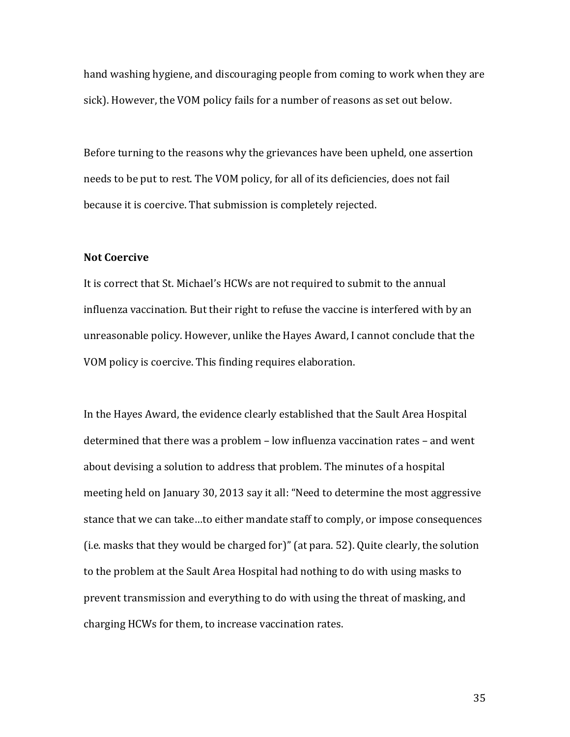hand washing hygiene, and discouraging people from coming to work when they are sick). However, the VOM policy fails for a number of reasons as set out below.

Before turning to the reasons why the grievances have been upheld, one assertion needs to be put to rest. The VOM policy, for all of its deficiencies, does not fail because it is coercive. That submission is completely rejected.

## **Not Coercive**

It is correct that St. Michael's HCWs are not required to submit to the annual influenza vaccination. But their right to refuse the vaccine is interfered with by an unreasonable policy. However, unlike the Hayes Award, I cannot conclude that the VOM policy is coercive. This finding requires elaboration.

In the Hayes Award, the evidence clearly established that the Sault Area Hospital determined that there was a problem  $-$  low influenza vaccination rates  $-$  and went about devising a solution to address that problem. The minutes of a hospital meeting held on January 30, 2013 say it all: "Need to determine the most aggressive stance that we can take...to either mandate staff to comply, or impose consequences (i.e. masks that they would be charged for)" (at para.  $52$ ). Quite clearly, the solution to the problem at the Sault Area Hospital had nothing to do with using masks to prevent transmission and everything to do with using the threat of masking, and charging HCWs for them, to increase vaccination rates.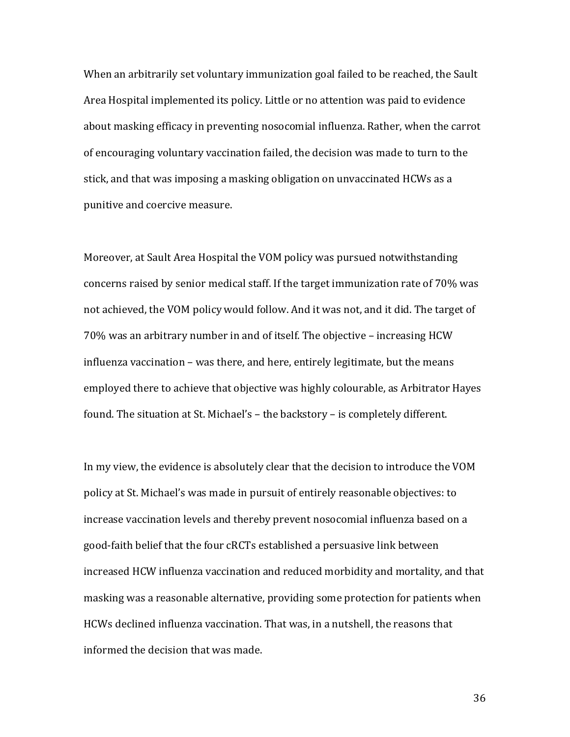When an arbitrarily set voluntary immunization goal failed to be reached, the Sault Area Hospital implemented its policy. Little or no attention was paid to evidence about masking efficacy in preventing nosocomial influenza. Rather, when the carrot of encouraging voluntary vaccination failed, the decision was made to turn to the stick, and that was imposing a masking obligation on unvaccinated HCWs as a punitive and coercive measure.

Moreover, at Sault Area Hospital the VOM policy was pursued notwithstanding concerns raised by senior medical staff. If the target immunization rate of 70% was not achieved, the VOM policy would follow. And it was not, and it did. The target of 70% was an arbitrary number in and of itself. The objective – increasing HCW influenza vaccination - was there, and here, entirely legitimate, but the means employed there to achieve that objective was highly colourable, as Arbitrator Hayes found. The situation at St. Michael's - the backstory - is completely different.

In my view, the evidence is absolutely clear that the decision to introduce the VOM policy at St. Michael's was made in pursuit of entirely reasonable objectives: to increase vaccination levels and thereby prevent nosocomial influenza based on a good-faith belief that the four cRCTs established a persuasive link between increased HCW influenza vaccination and reduced morbidity and mortality, and that masking was a reasonable alternative, providing some protection for patients when HCWs declined influenza vaccination. That was, in a nutshell, the reasons that informed the decision that was made.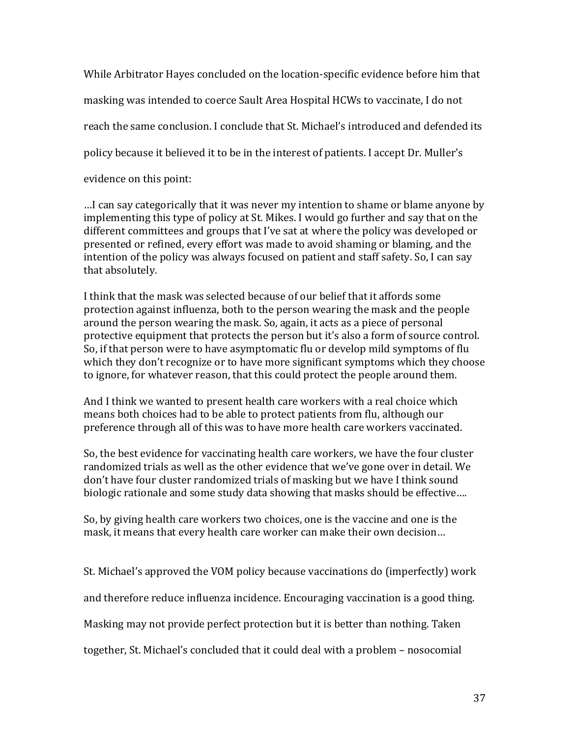While Arbitrator Hayes concluded on the location-specific evidence before him that masking was intended to coerce Sault Area Hospital HCWs to vaccinate, I do not reach the same conclusion. I conclude that St. Michael's introduced and defended its policy because it believed it to be in the interest of patients. I accept Dr. Muller's evidence on this point:

...I can say categorically that it was never my intention to shame or blame anyone by implementing this type of policy at St. Mikes. I would go further and say that on the different committees and groups that I've sat at where the policy was developed or presented or refined, every effort was made to avoid shaming or blaming, and the intention of the policy was always focused on patient and staff safety. So, I can say that absolutely.

I think that the mask was selected because of our belief that it affords some protection against influenza, both to the person wearing the mask and the people around the person wearing the mask. So, again, it acts as a piece of personal protective equipment that protects the person but it's also a form of source control. So, if that person were to have asymptomatic flu or develop mild symptoms of flu which they don't recognize or to have more significant symptoms which they choose to ignore, for whatever reason, that this could protect the people around them.

And I think we wanted to present health care workers with a real choice which means both choices had to be able to protect patients from flu, although our preference through all of this was to have more health care workers vaccinated.

So, the best evidence for vaccinating health care workers, we have the four cluster randomized trials as well as the other evidence that we've gone over in detail. We don't have four cluster randomized trials of masking but we have I think sound biologic rationale and some study data showing that masks should be effective....

So, by giving health care workers two choices, one is the vaccine and one is the mask, it means that every health care worker can make their own decision...

St. Michael's approved the VOM policy because vaccinations do (imperfectly) work

and therefore reduce influenza incidence. Encouraging vaccination is a good thing.

Masking may not provide perfect protection but it is better than nothing. Taken

together, St. Michael's concluded that it could deal with a problem - nosocomial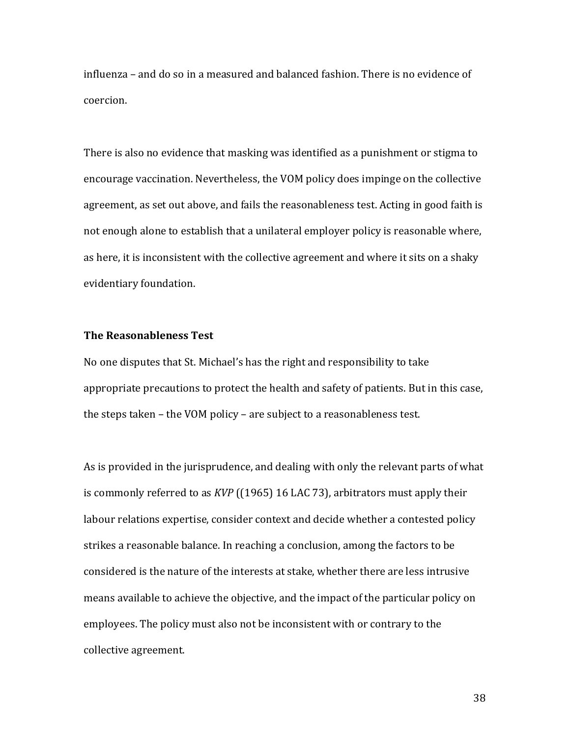influenza – and do so in a measured and balanced fashion. There is no evidence of coercion. 

There is also no evidence that masking was identified as a punishment or stigma to encourage vaccination. Nevertheless, the VOM policy does impinge on the collective agreement, as set out above, and fails the reasonableness test. Acting in good faith is not enough alone to establish that a unilateral employer policy is reasonable where, as here, it is inconsistent with the collective agreement and where it sits on a shaky evidentiary foundation.

## **The Reasonableness Test**

No one disputes that St. Michael's has the right and responsibility to take appropriate precautions to protect the health and safety of patients. But in this case, the steps taken – the VOM policy – are subject to a reasonableness test.

As is provided in the jurisprudence, and dealing with only the relevant parts of what is commonly referred to as *KVP* ((1965) 16 LAC 73), arbitrators must apply their labour relations expertise, consider context and decide whether a contested policy strikes a reasonable balance. In reaching a conclusion, among the factors to be considered is the nature of the interests at stake, whether there are less intrusive means available to achieve the objective, and the impact of the particular policy on employees. The policy must also not be inconsistent with or contrary to the collective agreement.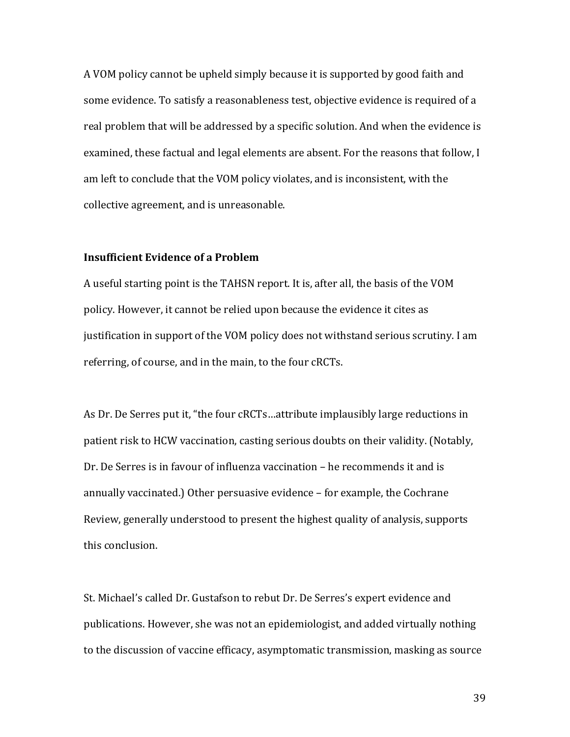A VOM policy cannot be upheld simply because it is supported by good faith and some evidence. To satisfy a reasonableness test, objective evidence is required of a real problem that will be addressed by a specific solution. And when the evidence is examined, these factual and legal elements are absent. For the reasons that follow, I am left to conclude that the VOM policy violates, and is inconsistent, with the collective agreement, and is unreasonable.

## **Insufficient Evidence of a Problem**

A useful starting point is the TAHSN report. It is, after all, the basis of the VOM policy. However, it cannot be relied upon because the evidence it cites as justification in support of the VOM policy does not withstand serious scrutiny. I am referring, of course, and in the main, to the four cRCTs.

As Dr. De Serres put it, "the four cRCTs...attribute implausibly large reductions in patient risk to HCW vaccination, casting serious doubts on their validity. (Notably, Dr. De Serres is in favour of influenza vaccination – he recommends it and is annually vaccinated.) Other persuasive evidence - for example, the Cochrane Review, generally understood to present the highest quality of analysis, supports this conclusion.

St. Michael's called Dr. Gustafson to rebut Dr. De Serres's expert evidence and publications. However, she was not an epidemiologist, and added virtually nothing to the discussion of vaccine efficacy, asymptomatic transmission, masking as source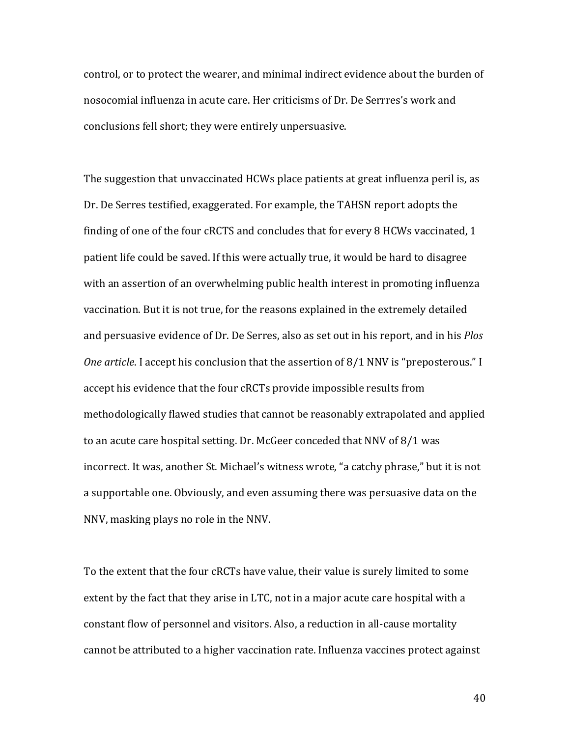control, or to protect the wearer, and minimal indirect evidence about the burden of nosocomial influenza in acute care. Her criticisms of Dr. De Serrres's work and conclusions fell short; they were entirely unpersuasive.

The suggestion that unvaccinated HCWs place patients at great influenza peril is, as Dr. De Serres testified, exaggerated. For example, the TAHSN report adopts the finding of one of the four cRCTS and concludes that for every  $8$  HCWs vaccinated, 1 patient life could be saved. If this were actually true, it would be hard to disagree with an assertion of an overwhelming public health interest in promoting influenza vaccination. But it is not true, for the reasons explained in the extremely detailed and persuasive evidence of Dr. De Serres, also as set out in his report, and in his *Plos One article*. I accept his conclusion that the assertion of 8/1 NNV is "preposterous." I accept his evidence that the four cRCTs provide impossible results from methodologically flawed studies that cannot be reasonably extrapolated and applied to an acute care hospital setting. Dr. McGeer conceded that NNV of 8/1 was incorrect. It was, another St. Michael's witness wrote, "a catchy phrase," but it is not a supportable one. Obviously, and even assuming there was persuasive data on the NNV, masking plays no role in the NNV.

To the extent that the four cRCTs have value, their value is surely limited to some extent by the fact that they arise in LTC, not in a major acute care hospital with a constant flow of personnel and visitors. Also, a reduction in all-cause mortality cannot be attributed to a higher vaccination rate. Influenza vaccines protect against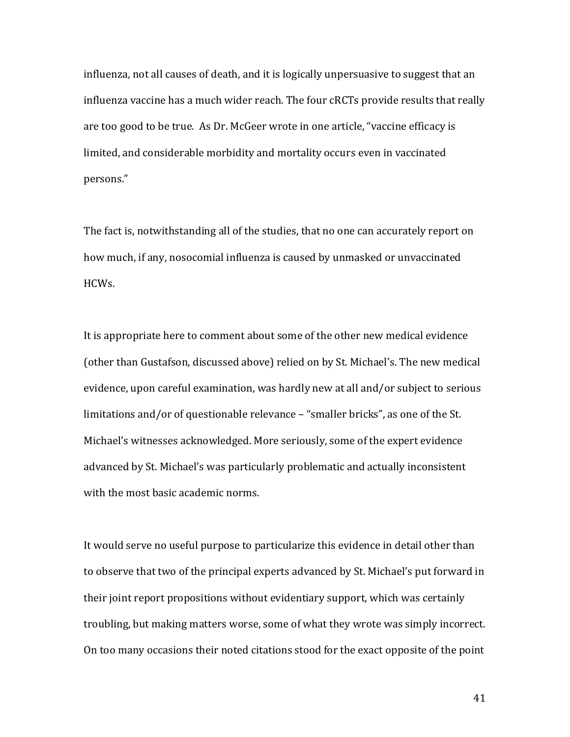influenza, not all causes of death, and it is logically unpersuasive to suggest that an influenza vaccine has a much wider reach. The four cRCTs provide results that really are too good to be true. As Dr. McGeer wrote in one article, "vaccine efficacy is limited, and considerable morbidity and mortality occurs even in vaccinated persons."

The fact is, notwithstanding all of the studies, that no one can accurately report on how much, if any, nosocomial influenza is caused by unmasked or unvaccinated HCWs. 

It is appropriate here to comment about some of the other new medical evidence (other than Gustafson, discussed above) relied on by St. Michael's. The new medical evidence, upon careful examination, was hardly new at all and/or subject to serious limitations and/or of questionable relevance - "smaller bricks", as one of the St. Michael's witnesses acknowledged. More seriously, some of the expert evidence advanced by St. Michael's was particularly problematic and actually inconsistent with the most basic academic norms.

It would serve no useful purpose to particularize this evidence in detail other than to observe that two of the principal experts advanced by St. Michael's put forward in their joint report propositions without evidentiary support, which was certainly troubling, but making matters worse, some of what they wrote was simply incorrect. On too many occasions their noted citations stood for the exact opposite of the point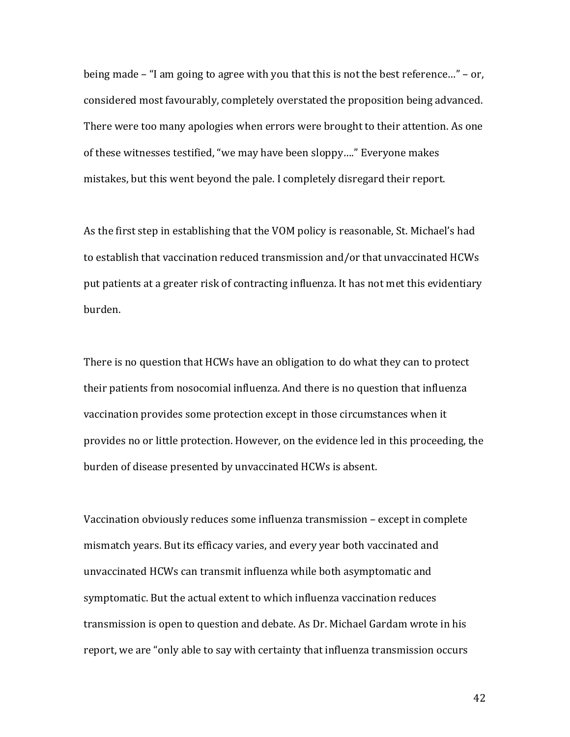being made  $-$  "I am going to agree with you that this is not the best reference..."  $-$  or, considered most favourably, completely overstated the proposition being advanced. There were too many apologies when errors were brought to their attention. As one of these witnesses testified, "we may have been sloppy...." Everyone makes mistakes, but this went beyond the pale. I completely disregard their report.

As the first step in establishing that the VOM policy is reasonable, St. Michael's had to establish that vaccination reduced transmission and/or that unvaccinated HCWs put patients at a greater risk of contracting influenza. It has not met this evidentiary burden. 

There is no question that HCWs have an obligation to do what they can to protect their patients from nosocomial influenza. And there is no question that influenza vaccination provides some protection except in those circumstances when it provides no or little protection. However, on the evidence led in this proceeding, the burden of disease presented by unvaccinated HCWs is absent.

Vaccination obviously reduces some influenza transmission - except in complete mismatch years. But its efficacy varies, and every year both vaccinated and unvaccinated HCWs can transmit influenza while both asymptomatic and symptomatic. But the actual extent to which influenza vaccination reduces transmission is open to question and debate. As Dr. Michael Gardam wrote in his report, we are "only able to say with certainty that influenza transmission occurs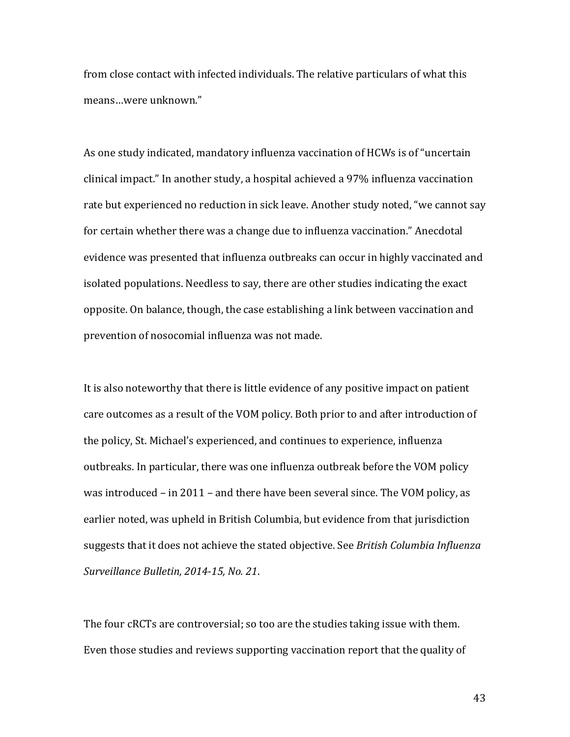from close contact with infected individuals. The relative particulars of what this means...were unknown."

As one study indicated, mandatory influenza vaccination of HCWs is of "uncertain clinical impact." In another study, a hospital achieved a 97% influenza vaccination rate but experienced no reduction in sick leave. Another study noted, "we cannot say for certain whether there was a change due to influenza vaccination." Anecdotal evidence was presented that influenza outbreaks can occur in highly vaccinated and isolated populations. Needless to say, there are other studies indicating the exact opposite. On balance, though, the case establishing a link between vaccination and prevention of nosocomial influenza was not made.

It is also noteworthy that there is little evidence of any positive impact on patient care outcomes as a result of the VOM policy. Both prior to and after introduction of the policy, St. Michael's experienced, and continues to experience, influenza outbreaks. In particular, there was one influenza outbreak before the VOM policy was introduced  $-$  in 2011  $-$  and there have been several since. The VOM policy, as earlier noted, was upheld in British Columbia, but evidence from that jurisdiction suggests that it does not achieve the stated objective. See *British Columbia Influenza Surveillance Bulletin, 2014-15, No. 21*. 

The four cRCTs are controversial; so too are the studies taking issue with them. Even those studies and reviews supporting vaccination report that the quality of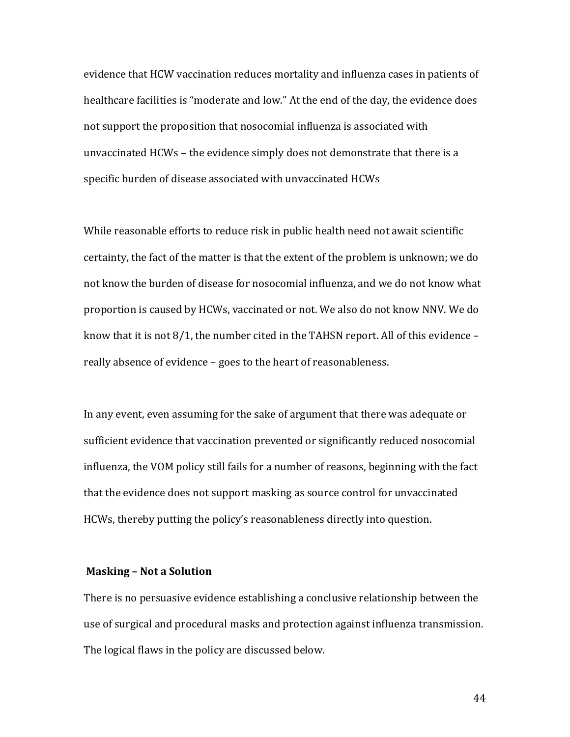evidence that HCW vaccination reduces mortality and influenza cases in patients of healthcare facilities is "moderate and low." At the end of the day, the evidence does not support the proposition that nosocomial influenza is associated with unvaccinated  $HCWs -$  the evidence simply does not demonstrate that there is a specific burden of disease associated with unvaccinated HCWs

While reasonable efforts to reduce risk in public health need not await scientific certainty, the fact of the matter is that the extent of the problem is unknown; we do not know the burden of disease for nosocomial influenza, and we do not know what proportion is caused by HCWs, vaccinated or not. We also do not know NNV. We do know that it is not  $8/1$ , the number cited in the TAHSN report. All of this evidence  $$ really absence of evidence - goes to the heart of reasonableness.

In any event, even assuming for the sake of argument that there was adequate or sufficient evidence that vaccination prevented or significantly reduced nosocomial influenza, the VOM policy still fails for a number of reasons, beginning with the fact that the evidence does not support masking as source control for unvaccinated HCWs, thereby putting the policy's reasonableness directly into question.

### **Masking - Not a Solution**

There is no persuasive evidence establishing a conclusive relationship between the use of surgical and procedural masks and protection against influenza transmission. The logical flaws in the policy are discussed below.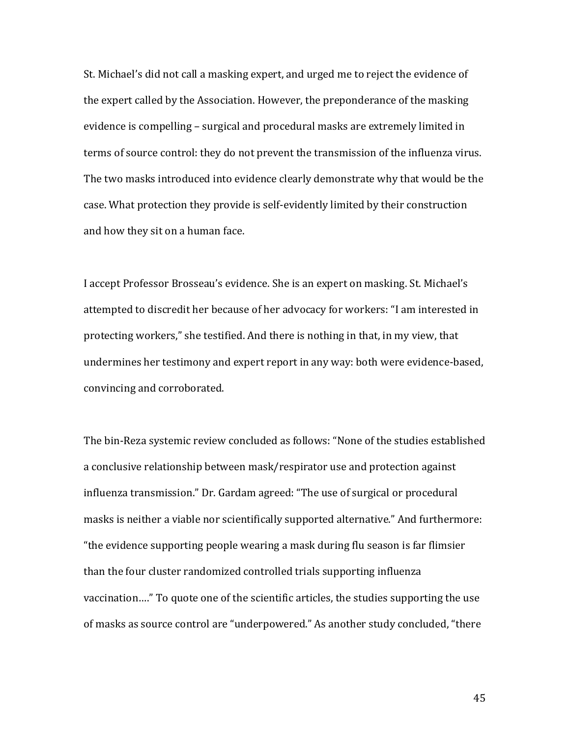St. Michael's did not call a masking expert, and urged me to reject the evidence of the expert called by the Association. However, the preponderance of the masking evidence is compelling - surgical and procedural masks are extremely limited in terms of source control: they do not prevent the transmission of the influenza virus. The two masks introduced into evidence clearly demonstrate why that would be the case. What protection they provide is self-evidently limited by their construction and how they sit on a human face.

I accept Professor Brosseau's evidence. She is an expert on masking. St. Michael's attempted to discredit her because of her advocacy for workers: "I am interested in protecting workers," she testified. And there is nothing in that, in my view, that undermines her testimony and expert report in any way: both were evidence-based, convincing and corroborated.

The bin-Reza systemic review concluded as follows: "None of the studies established a conclusive relationship between mask/respirator use and protection against influenza transmission." Dr. Gardam agreed: "The use of surgical or procedural masks is neither a viable nor scientifically supported alternative." And furthermore: "the evidence supporting people wearing a mask during flu season is far flimsier than the four cluster randomized controlled trials supporting influenza vaccination...." To quote one of the scientific articles, the studies supporting the use of masks as source control are "underpowered." As another study concluded, "there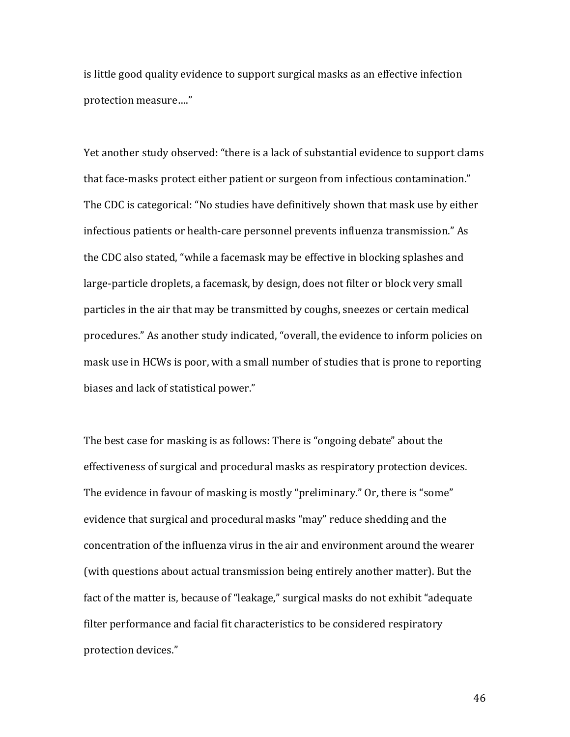is little good quality evidence to support surgical masks as an effective infection protection measure...."

Yet another study observed: "there is a lack of substantial evidence to support clams that face-masks protect either patient or surgeon from infectious contamination." The CDC is categorical: "No studies have definitively shown that mask use by either infectious patients or health-care personnel prevents influenza transmission." As the CDC also stated, "while a facemask may be effective in blocking splashes and large-particle droplets, a facemask, by design, does not filter or block very small particles in the air that may be transmitted by coughs, sneezes or certain medical procedures." As another study indicated, "overall, the evidence to inform policies on mask use in HCWs is poor, with a small number of studies that is prone to reporting biases and lack of statistical power."

The best case for masking is as follows: There is "ongoing debate" about the effectiveness of surgical and procedural masks as respiratory protection devices. The evidence in favour of masking is mostly "preliminary." Or, there is "some" evidence that surgical and procedural masks "may" reduce shedding and the concentration of the influenza virus in the air and environment around the wearer (with questions about actual transmission being entirely another matter). But the fact of the matter is, because of "leakage," surgical masks do not exhibit "adequate filter performance and facial fit characteristics to be considered respiratory protection devices."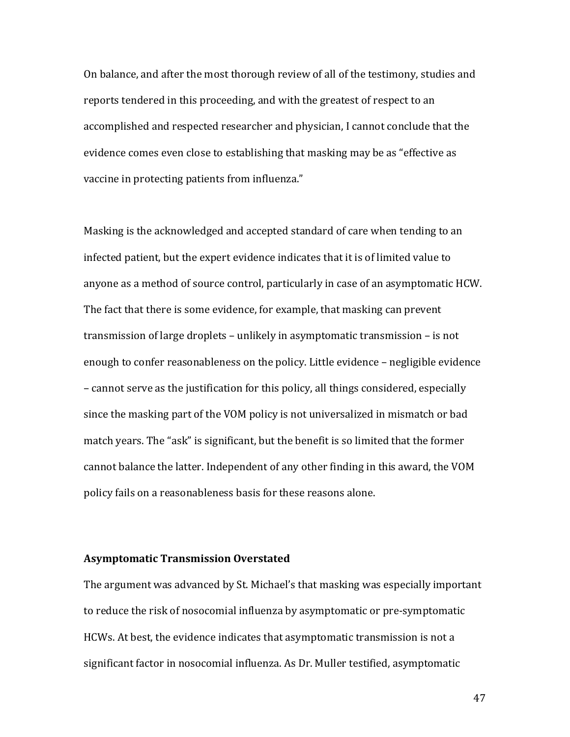On balance, and after the most thorough review of all of the testimony, studies and reports tendered in this proceeding, and with the greatest of respect to an accomplished and respected researcher and physician, I cannot conclude that the evidence comes even close to establishing that masking may be as "effective as vaccine in protecting patients from influenza."

Masking is the acknowledged and accepted standard of care when tending to an infected patient, but the expert evidence indicates that it is of limited value to anyone as a method of source control, particularly in case of an asymptomatic HCW. The fact that there is some evidence, for example, that masking can prevent transmission of large droplets  $-$  unlikely in asymptomatic transmission  $-$  is not enough to confer reasonableness on the policy. Little evidence – negligible evidence – cannot serve as the justification for this policy, all things considered, especially since the masking part of the VOM policy is not universalized in mismatch or bad match years. The "ask" is significant, but the benefit is so limited that the former cannot balance the latter. Independent of any other finding in this award, the VOM policy fails on a reasonableness basis for these reasons alone.

#### **Asymptomatic Transmission Overstated**

The argument was advanced by St. Michael's that masking was especially important to reduce the risk of nosocomial influenza by asymptomatic or pre-symptomatic HCWs. At best, the evidence indicates that asymptomatic transmission is not a significant factor in nosocomial influenza. As Dr. Muller testified, asymptomatic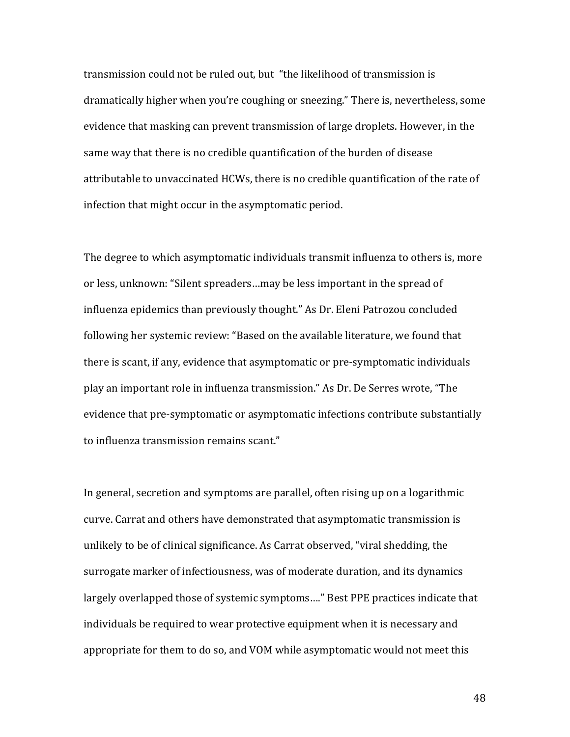transmission could not be ruled out, but "the likelihood of transmission is dramatically higher when you're coughing or sneezing." There is, nevertheless, some evidence that masking can prevent transmission of large droplets. However, in the same way that there is no credible quantification of the burden of disease attributable to unvaccinated HCWs, there is no credible quantification of the rate of infection that might occur in the asymptomatic period.

The degree to which asymptomatic individuals transmit influenza to others is, more or less, unknown: "Silent spreaders...may be less important in the spread of influenza epidemics than previously thought." As Dr. Eleni Patrozou concluded following her systemic review: "Based on the available literature, we found that there is scant, if any, evidence that asymptomatic or pre-symptomatic individuals play an important role in influenza transmission." As Dr. De Serres wrote, "The evidence that pre-symptomatic or asymptomatic infections contribute substantially to influenza transmission remains scant."

In general, secretion and symptoms are parallel, often rising up on a logarithmic curve. Carrat and others have demonstrated that asymptomatic transmission is unlikely to be of clinical significance. As Carrat observed, "viral shedding, the surrogate marker of infectiousness, was of moderate duration, and its dynamics largely overlapped those of systemic symptoms...." Best PPE practices indicate that individuals be required to wear protective equipment when it is necessary and appropriate for them to do so, and VOM while asymptomatic would not meet this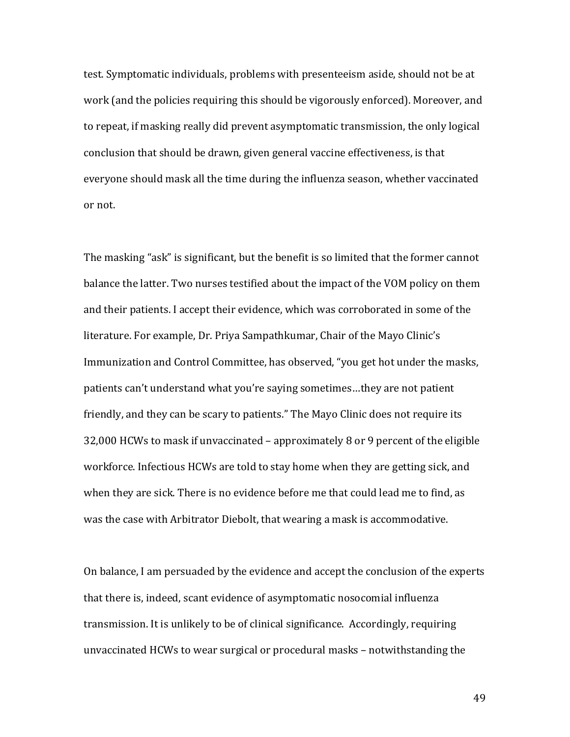test. Symptomatic individuals, problems with presenteeism aside, should not be at work (and the policies requiring this should be vigorously enforced). Moreover, and to repeat, if masking really did prevent asymptomatic transmission, the only logical conclusion that should be drawn, given general vaccine effectiveness, is that everyone should mask all the time during the influenza season, whether vaccinated or not.

The masking "ask" is significant, but the benefit is so limited that the former cannot balance the latter. Two nurses testified about the impact of the VOM policy on them and their patients. I accept their evidence, which was corroborated in some of the literature. For example, Dr. Priya Sampathkumar, Chair of the Mayo Clinic's Immunization and Control Committee, has observed, "you get hot under the masks, patients can't understand what you're saying sometimes...they are not patient friendly, and they can be scary to patients." The Mayo Clinic does not require its 32,000 HCWs to mask if unvaccinated – approximately 8 or 9 percent of the eligible workforce. Infectious HCWs are told to stay home when they are getting sick, and when they are sick. There is no evidence before me that could lead me to find, as was the case with Arbitrator Diebolt, that wearing a mask is accommodative.

On balance, I am persuaded by the evidence and accept the conclusion of the experts that there is, indeed, scant evidence of asymptomatic nosocomial influenza transmission. It is unlikely to be of clinical significance. Accordingly, requiring unvaccinated HCWs to wear surgical or procedural masks - notwithstanding the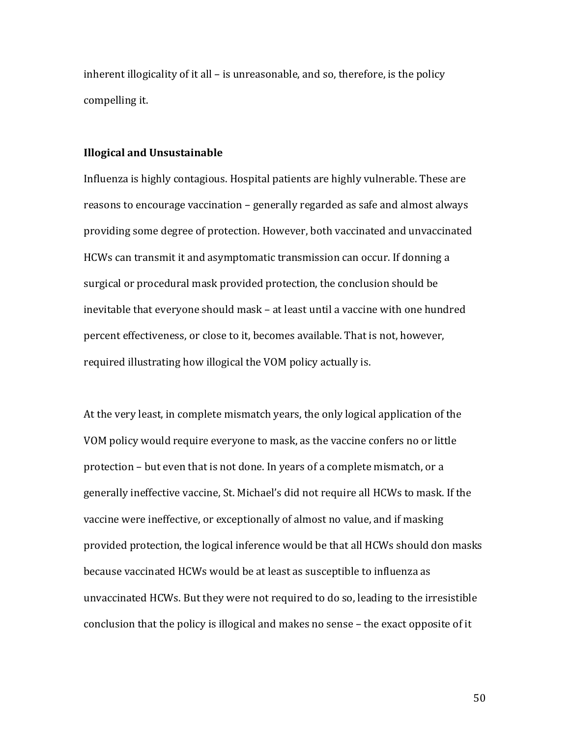inherent illogicality of it all  $-$  is unreasonable, and so, therefore, is the policy compelling it.

#### **Illogical and Unsustainable**

Influenza is highly contagious. Hospital patients are highly vulnerable. These are reasons to encourage vaccination – generally regarded as safe and almost always providing some degree of protection. However, both vaccinated and unvaccinated HCWs can transmit it and asymptomatic transmission can occur. If donning a surgical or procedural mask provided protection, the conclusion should be inevitable that everyone should mask – at least until a vaccine with one hundred percent effectiveness, or close to it, becomes available. That is not, however, required illustrating how illogical the VOM policy actually is.

At the very least, in complete mismatch years, the only logical application of the VOM policy would require everyone to mask, as the vaccine confers no or little protection – but even that is not done. In years of a complete mismatch, or a generally ineffective vaccine, St. Michael's did not require all HCWs to mask. If the vaccine were ineffective, or exceptionally of almost no value, and if masking provided protection, the logical inference would be that all HCWs should don masks because vaccinated HCWs would be at least as susceptible to influenza as unvaccinated HCWs. But they were not required to do so, leading to the irresistible conclusion that the policy is illogical and makes no sense - the exact opposite of it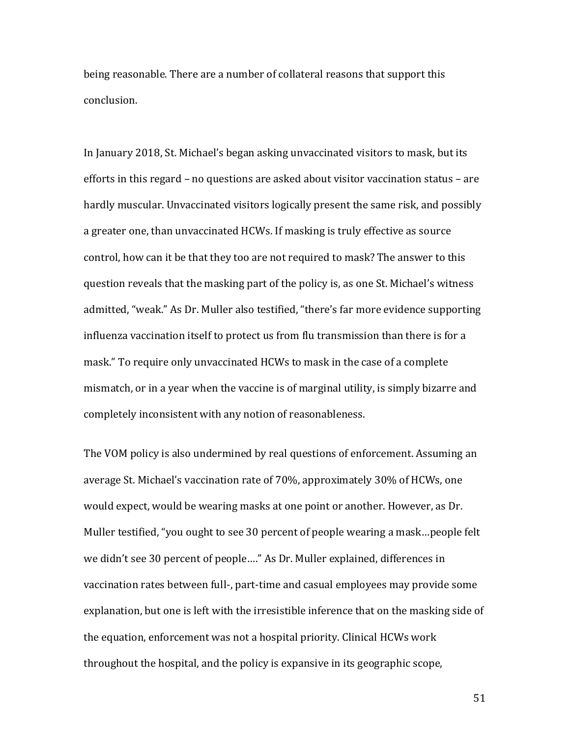being reasonable. There are a number of collateral reasons that support this conclusion.

In January 2018, St. Michael's began asking unvaccinated visitors to mask, but its efforts in this regard  $-$  no questions are asked about visitor vaccination status  $-$  are hardly muscular. Unvaccinated visitors logically present the same risk, and possibly a greater one, than unvaccinated HCWs. If masking is truly effective as source control, how can it be that they too are not required to mask? The answer to this question reveals that the masking part of the policy is, as one St. Michael's witness admitted, "weak." As Dr. Muller also testified, "there's far more evidence supporting influenza vaccination itself to protect us from flu transmission than there is for a mask." To require only unvaccinated HCWs to mask in the case of a complete mismatch, or in a year when the vaccine is of marginal utility, is simply bizarre and completely inconsistent with any notion of reasonableness.

The VOM policy is also undermined by real questions of enforcement. Assuming an average St. Michael's vaccination rate of 70%, approximately 30% of HCWs, one would expect, would be wearing masks at one point or another. However, as Dr. Muller testified, "you ought to see 30 percent of people wearing a mask...people felt we didn't see 30 percent of people...." As Dr. Muller explained, differences in vaccination rates between full-, part-time and casual employees may provide some explanation, but one is left with the irresistible inference that on the masking side of the equation, enforcement was not a hospital priority. Clinical HCWs work throughout the hospital, and the policy is expansive in its geographic scope,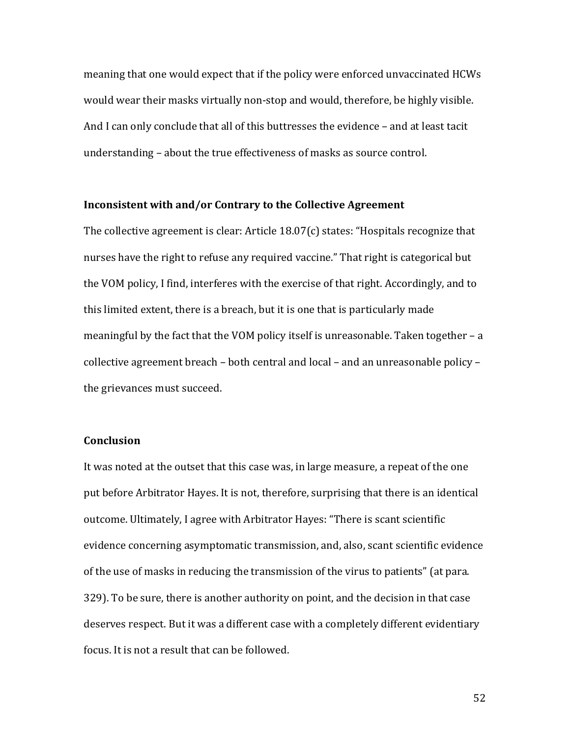meaning that one would expect that if the policy were enforced unvaccinated HCWs would wear their masks virtually non-stop and would, therefore, be highly visible. And I can only conclude that all of this buttresses the evidence - and at least tacit understanding – about the true effectiveness of masks as source control.

## **Inconsistent with and/or Contrary to the Collective Agreement**

The collective agreement is clear: Article  $18.07(c)$  states: "Hospitals recognize that nurses have the right to refuse any required vaccine." That right is categorical but the VOM policy, I find, interferes with the exercise of that right. Accordingly, and to this limited extent, there is a breach, but it is one that is particularly made meaningful by the fact that the VOM policy itself is unreasonable. Taken together  $- a$ collective agreement breach – both central and local – and an unreasonable policy – the grievances must succeed.

## **Conclusion**

It was noted at the outset that this case was, in large measure, a repeat of the one put before Arbitrator Hayes. It is not, therefore, surprising that there is an identical outcome. Ultimately, I agree with Arbitrator Hayes: "There is scant scientific evidence concerning asymptomatic transmission, and, also, scant scientific evidence of the use of masks in reducing the transmission of the virus to patients" (at para. 329). To be sure, there is another authority on point, and the decision in that case deserves respect. But it was a different case with a completely different evidentiary focus. It is not a result that can be followed.